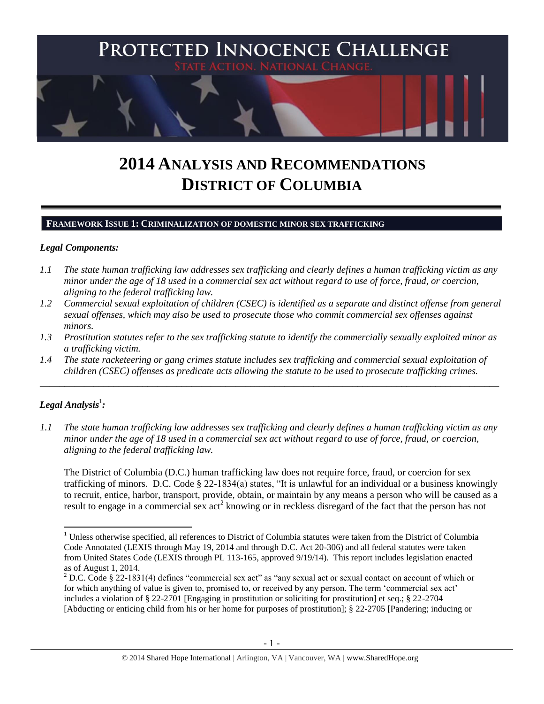

# **2014 ANALYSIS AND RECOMMENDATIONS DISTRICT OF COLUMBIA**

#### **FRAMEWORK ISSUE 1: CRIMINALIZATION OF DOMESTIC MINOR SEX TRAFFICKING**

#### *Legal Components:*

- *1.1 The state human trafficking law addresses sex trafficking and clearly defines a human trafficking victim as any minor under the age of 18 used in a commercial sex act without regard to use of force, fraud, or coercion, aligning to the federal trafficking law.*
- *1.2 Commercial sexual exploitation of children (CSEC) is identified as a separate and distinct offense from general sexual offenses, which may also be used to prosecute those who commit commercial sex offenses against minors.*
- *1.3 Prostitution statutes refer to the sex trafficking statute to identify the commercially sexually exploited minor as a trafficking victim.*

\_\_\_\_\_\_\_\_\_\_\_\_\_\_\_\_\_\_\_\_\_\_\_\_\_\_\_\_\_\_\_\_\_\_\_\_\_\_\_\_\_\_\_\_\_\_\_\_\_\_\_\_\_\_\_\_\_\_\_\_\_\_\_\_\_\_\_\_\_\_\_\_\_\_\_\_\_\_\_\_\_\_\_\_\_\_\_\_\_\_\_\_\_\_

*1.4 The state racketeering or gang crimes statute includes sex trafficking and commercial sexual exploitation of children (CSEC) offenses as predicate acts allowing the statute to be used to prosecute trafficking crimes.* 

# $\bm{L}$ egal Analysis<sup>1</sup>:

 $\overline{a}$ 

*1.1 The state human trafficking law addresses sex trafficking and clearly defines a human trafficking victim as any minor under the age of 18 used in a commercial sex act without regard to use of force, fraud, or coercion, aligning to the federal trafficking law.*

The District of Columbia (D.C.) human trafficking law does not require force, fraud, or coercion for sex trafficking of minors. D.C. Code § 22-1834(a) states, "It is unlawful for an individual or a business knowingly to recruit, entice, harbor, transport, provide, obtain, or maintain by any means a person who will be caused as a result to engage in a commercial sex act<sup>2</sup> knowing or in reckless disregard of the fact that the person has not

 $1$  Unless otherwise specified, all references to District of Columbia statutes were taken from the District of Columbia Code Annotated (LEXIS through May 19, 2014 and through D.C. Act 20-306) and all federal statutes were taken from United States Code (LEXIS through PL 113-165, approved 9/19/14). This report includes legislation enacted as of August 1, 2014.

<sup>2</sup> D.C. Code § 22-1831(4) defines "commercial sex act" as "any sexual act or sexual contact on account of which or for which anything of value is given to, promised to, or received by any person. The term 'commercial sex act' includes a violation of § 22-2701 [Engaging in prostitution or soliciting for prostitution] et seq.; § 22-2704 [Abducting or enticing child from his or her home for purposes of prostitution]; [§ 22-2705](http://www.lexis.com/research/buttonTFLink?_m=885c15e1bec77c1b8d4b0f41eba76d71&_xfercite=%3ccite%20cc%3d%22USA%22%3e%3c%21%5bCDATA%5bD.C.%20Code%20%a7%2022-1831%5d%5d%3e%3c%2fcite%3e&_butType=4&_butStat=0&_butNum=4&_butInline=1&_butinfo=DCCODE%2022-2705&_fmtstr=FULL&docnum=1&_startdoc=1&wchp=dGLzVzz-zSkAA&_md5=7a74531524352acf7dfa8b3ca63c9f3a) [Pandering; inducing or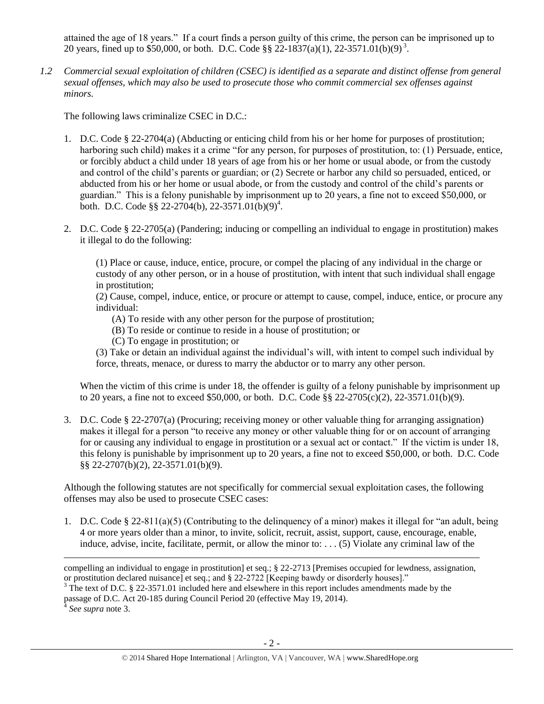<span id="page-1-0"></span>attained the age of 18 years." If a court finds a person guilty of this crime, the person can be imprisoned up to 20 years, fined up to \$50,000, or both. D.C. Code §§ 22-1837(a)(1), 22-3571.01(b)(9)<sup>3</sup>.

*1.2 Commercial sexual exploitation of children (CSEC) is identified as a separate and distinct offense from general sexual offenses, which may also be used to prosecute those who commit commercial sex offenses against minors.*

The following laws criminalize CSEC in D.C.:

- 1. D.C. Code § 22-2704(a) (Abducting or enticing child from his or her home for purposes of prostitution; harboring such child) makes it a crime "for any person, for purposes of prostitution, to: (1) Persuade, entice, or forcibly abduct a child under 18 years of age from his or her home or usual abode, or from the custody and control of the child's parents or guardian; or (2) Secrete or harbor any child so persuaded, enticed, or abducted from his or her home or usual abode, or from the custody and control of the child's parents or guardian." This is a felony punishable by imprisonment up to 20 years, a fine not to exceed \$50,000, or both. D.C. Code §§ 22-2704(b), 22-3571.01(b)(9)<sup>4</sup>.
- 2. D.C. Code § 22-2705(a) (Pandering; inducing or compelling an individual to engage in prostitution) makes it illegal to do the following:

(1) Place or cause, induce, entice, procure, or compel the placing of any individual in the charge or custody of any other person, or in a house of prostitution, with intent that such individual shall engage in prostitution;

(2) Cause, compel, induce, entice, or procure or attempt to cause, compel, induce, entice, or procure any individual:

- (A) To reside with any other person for the purpose of prostitution;
- (B) To reside or continue to reside in a house of prostitution; or
- (C) To engage in prostitution; or

(3) Take or detain an individual against the individual's will, with intent to compel such individual by force, threats, menace, or duress to marry the abductor or to marry any other person.

When the victim of this crime is under 18, the offender is guilty of a felony punishable by imprisonment up to 20 years, a fine not to exceed \$50,000, or both. D.C. Code §§ 22-2705(c)(2), 22-3571.01(b)(9).

3. D.C. Code § 22-2707(a) (Procuring; receiving money or other valuable thing for arranging assignation) makes it illegal for a person "to receive any money or other valuable thing for or on account of arranging for or causing any individual to engage in prostitution or a sexual act or contact." If the victim is under 18, this felony is punishable by imprisonment up to 20 years, a fine not to exceed \$50,000, or both. D.C. Code §§ 22-2707(b)(2), 22-3571.01(b)(9).

Although the following statutes are not specifically for commercial sexual exploitation cases, the following offenses may also be used to prosecute CSEC cases:

1. D.C. Code § 22-811(a)(5) (Contributing to the delinquency of a minor) makes it illegal for "an adult, being 4 or more years older than a minor, to invite, solicit, recruit, assist, support, cause, encourage, enable, induce, advise, incite, facilitate, permit, or allow the minor to: . . . (5) Violate any criminal law of the

l

compelling an individual to engage in prostitution] et seq.; § 22-2713 [Premises occupied for lewdness, assignation, or prostitution declared nuisance] et seq.; and § 22-2722 [Keeping bawdy or disorderly houses]."

<sup>&</sup>lt;sup>3</sup> The text of D.C. § 22-3571.01 included here and elsewhere in this report includes amendments made by the passage of D.C. Act 20-185 during Council Period 20 (effective May 19, 2014).

*See supra* note [3.](#page-1-0)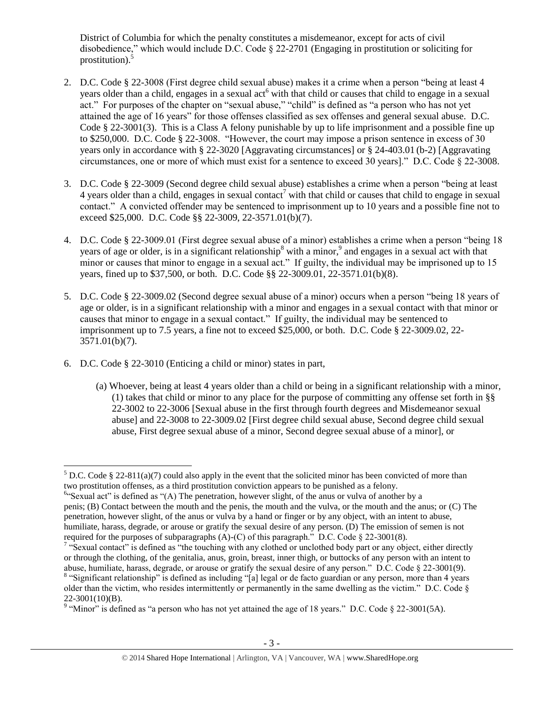District of Columbia for which the penalty constitutes a misdemeanor, except for acts of civil disobedience," which would include D.C. Code § 22-2701 (Engaging in prostitution or soliciting for prostitution).<sup>5</sup>

- 2. D.C. Code § 22-3008 (First degree child sexual abuse) makes it a crime when a person "being at least 4 years older than a child, engages in a sexual act<sup>6</sup> with that child or causes that child to engage in a sexual act." For purposes of the chapter on "sexual abuse," "child" is defined as "a person who has not yet attained the age of 16 years" for those offenses classified as sex offenses and general sexual abuse. D.C. Code § 22-3001(3). This is a Class A felony punishable by up to life imprisonment and a possible fine up to \$250,000. D.C. Code § 22-3008. "However, the court may impose a prison sentence in excess of 30 years only in accordance with § 22-3020 [Aggravating circumstances] or § 24-403.01 (b-2) [Aggravating circumstances, one or more of which must exist for a sentence to exceed 30 years]." D.C. Code § 22-3008.
- 3. D.C. Code § 22-3009 (Second degree child sexual abuse) establishes a crime when a person "being at least 4 years older than a child, engages in sexual contact<sup>7</sup> with that child or causes that child to engage in sexual contact." A convicted offender may be sentenced to imprisonment up to 10 years and a possible fine not to exceed \$25,000. D.C. Code §§ 22-3009, 22-3571.01(b)(7).
- 4. D.C. Code § 22-3009.01 (First degree sexual abuse of a minor) establishes a crime when a person "being 18 years of age or older, is in a significant relationship<sup>8</sup> with a minor,  $9^9$  and engages in a sexual act with that minor or causes that minor to engage in a sexual act." If guilty, the individual may be imprisoned up to 15 years, fined up to \$37,500, or both. D.C. Code §§ 22-3009.01, 22-3571.01(b)(8).
- 5. D.C. Code § 22-3009.02 (Second degree sexual abuse of a minor) occurs when a person "being 18 years of age or older, is in a significant relationship with a minor and engages in a sexual contact with that minor or causes that minor to engage in a sexual contact." If guilty, the individual may be sentenced to imprisonment up to 7.5 years, a fine not to exceed \$25,000, or both. D.C. Code § 22-3009.02, 22- 3571.01(b)(7).
- 6. D.C. Code § 22-3010 (Enticing a child or minor) states in part,
	- (a) Whoever, being at least 4 years older than a child or being in a significant relationship with a minor, (1) takes that child or minor to any place for the purpose of committing any offense set forth in §§ 22-3002 to 22-3006 [Sexual abuse in the first through fourth degrees and Misdemeanor sexual abuse] and 22-3008 to 22-3009.02 [First degree child sexual abuse, Second degree child sexual abuse, First degree sexual abuse of a minor, Second degree sexual abuse of a minor], or

 $\overline{a}$ <sup>5</sup> D.C. Code § 22-811(a)(7) could also apply in the event that the solicited minor has been convicted of more than two prostitution offenses, as a third prostitution conviction appears to be punished as a felony.

<sup>&</sup>lt;sup>6"</sup>Sexual act" is defined as "(A) The penetration, however slight, of the anus or vulva of another by a penis; (B) Contact between the mouth and the penis, the mouth and the vulva, or the mouth and the anus; or (C) The penetration, however slight, of the anus or vulva by a hand or finger or by any object, with an intent to abuse, humiliate, harass, degrade, or arouse or gratify the sexual desire of any person. (D) The emission of semen is not required for the purposes of subparagraphs (A)-(C) of this paragraph." D.C. Code  $\S$  22-3001(8).

<sup>&</sup>lt;sup>7</sup> "Sexual contact" is defined as "the touching with any clothed or unclothed body part or any object, either directly or through the clothing, of the genitalia, anus, groin, breast, inner thigh, or buttocks of any person with an intent to abuse, humiliate, harass, degrade, or arouse or gratify the sexual desire of any person." D.C. Code § 22-3001(9).

<sup>&</sup>lt;sup>8</sup> "Significant relationship" is defined as including "[a] legal or de facto guardian or any person, more than 4 years older than the victim, who resides intermittently or permanently in the same dwelling as the victim." D.C. Code  $\S$ 22-3001(10)(B).

<sup>&</sup>lt;sup>9</sup> "Minor" is defined as "a person who has not yet attained the age of 18 years." D.C. Code § 22-3001(5A).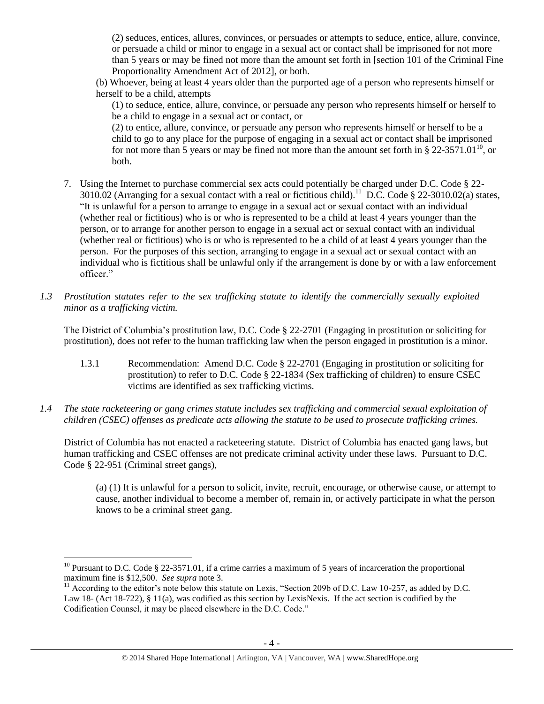(2) seduces, entices, allures, convinces, or persuades or attempts to seduce, entice, allure, convince, or persuade a child or minor to engage in a sexual act or contact shall be imprisoned for not more than 5 years or may be fined not more than the amount set forth in [section 101 of the Criminal Fine Proportionality Amendment Act of 2012], or both.

(b) Whoever, being at least 4 years older than the purported age of a person who represents himself or herself to be a child, attempts

(1) to seduce, entice, allure, convince, or persuade any person who represents himself or herself to be a child to engage in a sexual act or contact, or

(2) to entice, allure, convince, or persuade any person who represents himself or herself to be a child to go to any place for the purpose of engaging in a sexual act or contact shall be imprisoned for not more than 5 years or may be fined not more than the amount set forth in § 22-3571.01<sup>10</sup>, or both.

- 7. Using the Internet to purchase commercial sex acts could potentially be charged under D.C. Code § 22- 3010.02 (Arranging for a sexual contact with a real or fictitious child).<sup>11</sup> D.C. Code § 22-3010.02(a) states, "It is unlawful for a person to arrange to engage in a sexual act or sexual contact with an individual (whether real or fictitious) who is or who is represented to be a child at least 4 years younger than the person, or to arrange for another person to engage in a sexual act or sexual contact with an individual (whether real or fictitious) who is or who is represented to be a child of at least 4 years younger than the person. For the purposes of this section, arranging to engage in a sexual act or sexual contact with an individual who is fictitious shall be unlawful only if the arrangement is done by or with a law enforcement officer."
- *1.3 Prostitution statutes refer to the sex trafficking statute to identify the commercially sexually exploited minor as a trafficking victim.*

The District of Columbia's prostitution law, D.C. Code § 22-2701 (Engaging in prostitution or soliciting for prostitution), does not refer to the human trafficking law when the person engaged in prostitution is a minor.

- 1.3.1 Recommendation: Amend D.C. Code § 22-2701 (Engaging in prostitution or soliciting for prostitution) to refer to D.C. Code § 22-1834 (Sex trafficking of children) to ensure CSEC victims are identified as sex trafficking victims.
- *1.4 The state racketeering or gang crimes statute includes sex trafficking and commercial sexual exploitation of children (CSEC) offenses as predicate acts allowing the statute to be used to prosecute trafficking crimes.*

District of Columbia has not enacted a racketeering statute. District of Columbia has enacted gang laws, but human trafficking and CSEC offenses are not predicate criminal activity under these laws. Pursuant to D.C. Code § 22-951 (Criminal street gangs),

(a) (1) It is unlawful for a person to solicit, invite, recruit, encourage, or otherwise cause, or attempt to cause, another individual to become a member of, remain in, or actively participate in what the person knows to be a criminal street gang.

l <sup>10</sup> Pursuant to D.C. Code  $\S 22-3571.01$ , if a crime carries a maximum of 5 years of incarceration the proportional maximum fine is \$12,500. *See supra* not[e 3.](#page-1-0)

<sup>&</sup>lt;sup>11</sup> According to the editor's note below this statute on Lexis, "Section 209b of D.C. Law 10-257, as added by D.C. Law 18- (Act 18-722), § 11(a), was codified as this section by LexisNexis. If the act section is codified by the Codification Counsel, it may be placed elsewhere in the D.C. Code."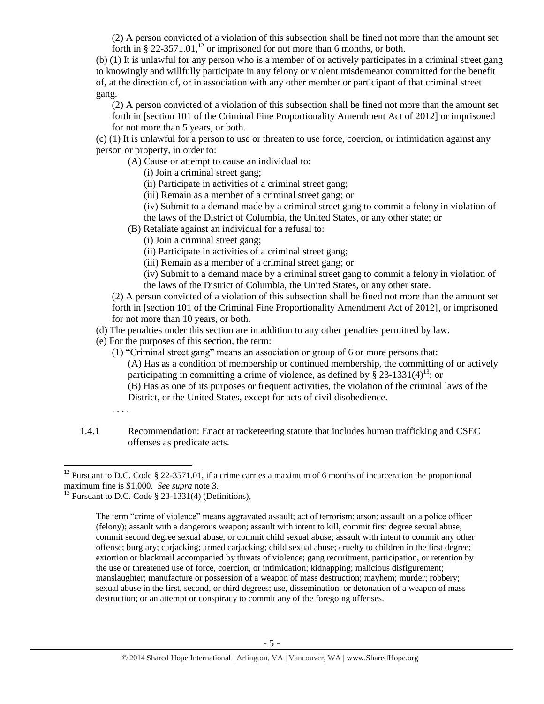(2) A person convicted of a violation of this subsection shall be fined not more than the amount set forth in § 22-3571.01,<sup>12</sup> or imprisoned for not more than 6 months, or both.

(b) (1) It is unlawful for any person who is a member of or actively participates in a criminal street gang to knowingly and willfully participate in any felony or violent misdemeanor committed for the benefit of, at the direction of, or in association with any other member or participant of that criminal street gang.

(2) A person convicted of a violation of this subsection shall be fined not more than the amount set forth in [section 101 of the Criminal Fine Proportionality Amendment Act of 2012] or imprisoned for not more than 5 years, or both.

(c) (1) It is unlawful for a person to use or threaten to use force, coercion, or intimidation against any person or property, in order to:

(A) Cause or attempt to cause an individual to:

- (i) Join a criminal street gang;
- (ii) Participate in activities of a criminal street gang;

(iii) Remain as a member of a criminal street gang; or

- (iv) Submit to a demand made by a criminal street gang to commit a felony in violation of
- the laws of the District of Columbia, the United States, or any other state; or
- (B) Retaliate against an individual for a refusal to:
	- (i) Join a criminal street gang;
	- (ii) Participate in activities of a criminal street gang;
	- (iii) Remain as a member of a criminal street gang; or
	- (iv) Submit to a demand made by a criminal street gang to commit a felony in violation of the laws of the District of Columbia, the United States, or any other state.

(2) A person convicted of a violation of this subsection shall be fined not more than the amount set forth in [section 101 of the Criminal Fine Proportionality Amendment Act of 2012], or imprisoned for not more than 10 years, or both.

(d) The penalties under this section are in addition to any other penalties permitted by law.

- (e) For the purposes of this section, the term:
	- (1) "Criminal street gang" means an association or group of 6 or more persons that: (A) Has as a condition of membership or continued membership, the committing of or actively participating in committing a crime of violence, as defined by  $\S 23-1331(4)^{13}$ ; or (B) Has as one of its purposes or frequent activities, the violation of the criminal laws of the District, or the United States, except for acts of civil disobedience.
	- . . . .

 $\overline{a}$ 

1.4.1 Recommendation: Enact at racketeering statute that includes human trafficking and CSEC offenses as predicate acts.

<sup>&</sup>lt;sup>12</sup> Pursuant to D.C. Code § 22-3571.01, if a crime carries a maximum of 6 months of incarceration the proportional maximum fine is \$1,000. *See supra* not[e 3.](#page-1-0)

<sup>&</sup>lt;sup>13</sup> Pursuant to D.C. Code  $\S$  23-1331(4) (Definitions),

The term "crime of violence" means aggravated assault; act of terrorism; arson; assault on a police officer (felony); assault with a dangerous weapon; assault with intent to kill, commit first degree sexual abuse, commit second degree sexual abuse, or commit child sexual abuse; assault with intent to commit any other offense; burglary; carjacking; armed carjacking; child sexual abuse; cruelty to children in the first degree; extortion or blackmail accompanied by threats of violence; gang recruitment, participation, or retention by the use or threatened use of force, coercion, or intimidation; kidnapping; malicious disfigurement; manslaughter; manufacture or possession of a weapon of mass destruction; mayhem; murder; robbery; sexual abuse in the first, second, or third degrees; use, dissemination, or detonation of a weapon of mass destruction; or an attempt or conspiracy to commit any of the foregoing offenses.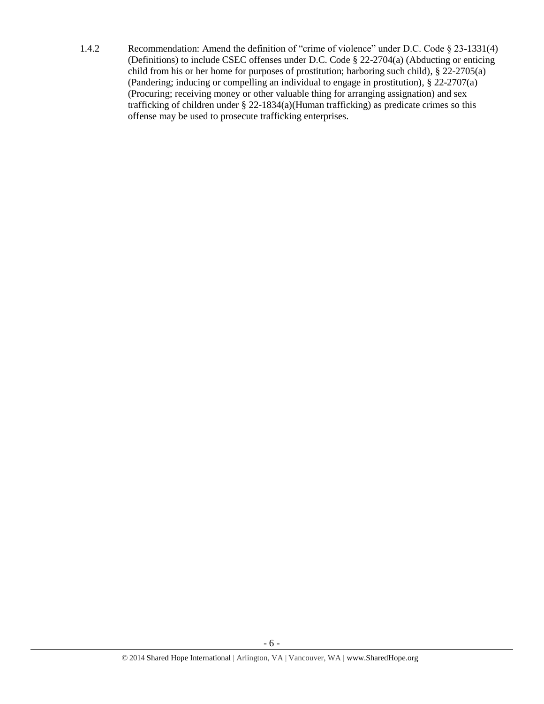1.4.2 Recommendation: Amend the definition of "crime of violence" under D.C. Code § 23-1331(4) (Definitions) to include CSEC offenses under D.C. Code § 22-2704(a) (Abducting or enticing child from his or her home for purposes of prostitution; harboring such child), § 22-2705(a) (Pandering; inducing or compelling an individual to engage in prostitution), § 22-2707(a) (Procuring; receiving money or other valuable thing for arranging assignation) and sex trafficking of children under § 22-1834(a)(Human trafficking) as predicate crimes so this offense may be used to prosecute trafficking enterprises.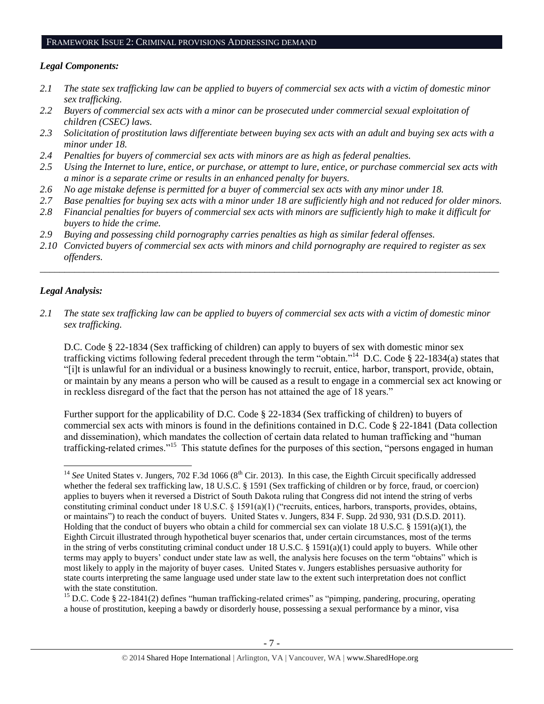#### FRAMEWORK ISSUE 2: CRIMINAL PROVISIONS ADDRESSING DEMAND

#### *Legal Components:*

- *2.1 The state sex trafficking law can be applied to buyers of commercial sex acts with a victim of domestic minor sex trafficking.*
- *2.2 Buyers of commercial sex acts with a minor can be prosecuted under commercial sexual exploitation of children (CSEC) laws.*
- *2.3 Solicitation of prostitution laws differentiate between buying sex acts with an adult and buying sex acts with a minor under 18.*
- *2.4 Penalties for buyers of commercial sex acts with minors are as high as federal penalties.*
- *2.5 Using the Internet to lure, entice, or purchase, or attempt to lure, entice, or purchase commercial sex acts with a minor is a separate crime or results in an enhanced penalty for buyers.*
- *2.6 No age mistake defense is permitted for a buyer of commercial sex acts with any minor under 18.*
- *2.7 Base penalties for buying sex acts with a minor under 18 are sufficiently high and not reduced for older minors.*
- *2.8 Financial penalties for buyers of commercial sex acts with minors are sufficiently high to make it difficult for buyers to hide the crime.*
- *2.9 Buying and possessing child pornography carries penalties as high as similar federal offenses.*
- *2.10 Convicted buyers of commercial sex acts with minors and child pornography are required to register as sex offenders.*

\_\_\_\_\_\_\_\_\_\_\_\_\_\_\_\_\_\_\_\_\_\_\_\_\_\_\_\_\_\_\_\_\_\_\_\_\_\_\_\_\_\_\_\_\_\_\_\_\_\_\_\_\_\_\_\_\_\_\_\_\_\_\_\_\_\_\_\_\_\_\_\_\_\_\_\_\_\_\_\_\_\_\_\_\_\_\_\_\_\_\_\_\_\_

#### *Legal Analysis:*

*2.1 The state sex trafficking law can be applied to buyers of commercial sex acts with a victim of domestic minor sex trafficking.* 

D.C. Code § 22-1834 (Sex trafficking of children) can apply to buyers of sex with domestic minor sex trafficking victims following federal precedent through the term "obtain."<sup>14</sup> D.C. Code § 22-1834(a) states that "[i]t is unlawful for an individual or a business knowingly to recruit, entice, harbor, transport, provide, obtain, or maintain by any means a person who will be caused as a result to engage in a commercial sex act knowing or in reckless disregard of the fact that the person has not attained the age of 18 years."

Further support for the applicability of D.C. Code § 22-1834 (Sex trafficking of children) to buyers of commercial sex acts with minors is found in the definitions contained in D.C. Code § 22-1841 (Data collection and dissemination), which mandates the collection of certain data related to human trafficking and "human trafficking-related crimes."<sup>15</sup> This statute defines for the purposes of this section, "persons engaged in human

<sup>15</sup> D.C. Code § 22-1841(2) defines "human trafficking-related crimes" as "pimping, pandering, procuring, operating a house of prostitution, keeping a bawdy or disorderly house, possessing a sexual performance by a minor, visa

 $\overline{a}$ <sup>14</sup> See United States v. Jungers, 702 F.3d 1066 (8<sup>th</sup> Cir. 2013). In this case, the Eighth Circuit specifically addressed whether the federal sex trafficking law, 18 U.S.C. § 1591 (Sex trafficking of children or by force, fraud, or coercion) applies to buyers when it reversed a District of South Dakota ruling that Congress did not intend the string of verbs constituting criminal conduct under 18 U.S.C. § 1591(a)(1) ("recruits, entices, harbors, transports, provides, obtains, or maintains") to reach the conduct of buyers. United States v. Jungers, 834 F. Supp. 2d 930, 931 (D.S.D. 2011). Holding that the conduct of buyers who obtain a child for commercial sex can violate 18 U.S.C. § 1591(a)(1), the Eighth Circuit illustrated through hypothetical buyer scenarios that, under certain circumstances, most of the terms in the string of verbs constituting criminal conduct under 18 U.S.C. § 1591(a)(1) could apply to buyers. While other terms may apply to buyers' conduct under state law as well, the analysis here focuses on the term "obtains" which is most likely to apply in the majority of buyer cases. United States v. Jungers establishes persuasive authority for state courts interpreting the same language used under state law to the extent such interpretation does not conflict with the state constitution.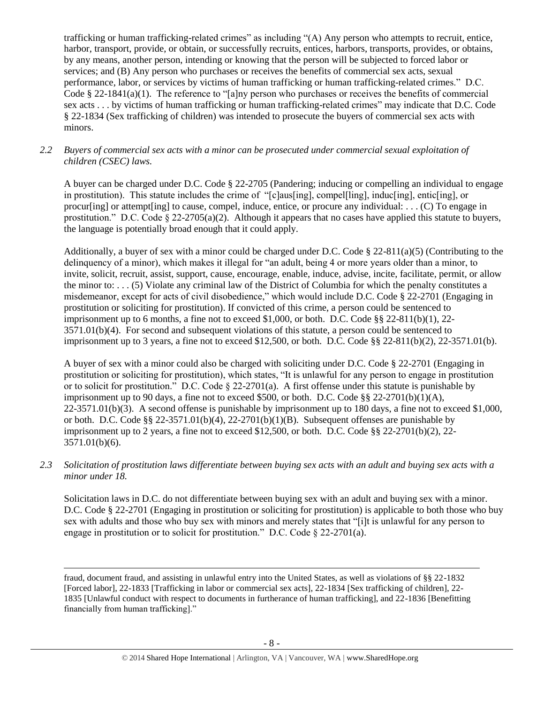trafficking or human trafficking-related crimes" as including "(A) Any person who attempts to recruit, entice, harbor, transport, provide, or obtain, or successfully recruits, entices, harbors, transports, provides, or obtains, by any means, another person, intending or knowing that the person will be subjected to forced labor or services; and (B) Any person who purchases or receives the benefits of commercial sex acts, sexual performance, labor, or services by victims of human trafficking or human trafficking-related crimes." D.C. Code § 22-1841(a)(1). The reference to "[a]ny person who purchases or receives the benefits of commercial sex acts . . . by victims of human trafficking or human trafficking-related crimes" may indicate that D.C. Code § 22-1834 (Sex trafficking of children) was intended to prosecute the buyers of commercial sex acts with minors.

#### *2.2 Buyers of commercial sex acts with a minor can be prosecuted under commercial sexual exploitation of children (CSEC) laws.*

A buyer can be charged under D.C. Code § 22-2705 (Pandering; inducing or compelling an individual to engage in prostitution). This statute includes the crime of "[c]aus[ing], compel[ling], induc[ing], entic[ing], or procurling] or attempt [ing] to cause, compel, induce, entice, or procure any individual: . . . (C) To engage in prostitution." D.C. Code  $\S 22-2705(a)(2)$ . Although it appears that no cases have applied this statute to buyers, the language is potentially broad enough that it could apply.

Additionally, a buyer of sex with a minor could be charged under D.C. Code § 22-811(a)(5) (Contributing to the delinquency of a minor), which makes it illegal for "an adult, being 4 or more years older than a minor, to invite, solicit, recruit, assist, support, cause, encourage, enable, induce, advise, incite, facilitate, permit, or allow the minor to: . . . (5) Violate any criminal law of the District of Columbia for which the penalty constitutes a misdemeanor, except for acts of civil disobedience," which would include D.C. Code § 22-2701 (Engaging in prostitution or soliciting for prostitution). If convicted of this crime, a person could be sentenced to imprisonment up to 6 months, a fine not to exceed \$1,000, or both. D.C. Code  $\S 8$  22-811(b)(1), 22-3571.01(b)(4). For second and subsequent violations of this statute, a person could be sentenced to imprisonment up to 3 years, a fine not to exceed \$12,500, or both. D.C. Code §§ 22-811(b)(2), 22-3571.01(b).

A buyer of sex with a minor could also be charged with soliciting under D.C. Code § 22-2701 (Engaging in prostitution or soliciting for prostitution), which states, "It is unlawful for any person to engage in prostitution or to solicit for prostitution." D.C. Code § 22-2701(a). A first offense under this statute is punishable by imprisonment up to 90 days, a fine not to exceed \$500, or both. D.C. Code  $\S$ § 22-2701(b)(1)(A),  $22-3571.01(b)(3)$ . A second offense is punishable by imprisonment up to 180 days, a fine not to exceed \$1,000, or both. D.C. Code §§ 22-3571.01(b)(4), 22-2701(b)(1)(B). Subsequent offenses are punishable by imprisonment up to 2 years, a fine not to exceed \$12,500, or both. D.C. Code  $\S$ § 22-2701(b)(2), 22-3571.01(b)(6).

*2.3 Solicitation of prostitution laws differentiate between buying sex acts with an adult and buying sex acts with a minor under 18.*

Solicitation laws in D.C. do not differentiate between buying sex with an adult and buying sex with a minor. D.C. Code § 22-2701 (Engaging in prostitution or soliciting for prostitution) is applicable to both those who buy sex with adults and those who buy sex with minors and merely states that "[i]t is unlawful for any person to engage in prostitution or to solicit for prostitution." D.C. Code § 22-2701(a).

fraud, document fraud, and assisting in unlawful entry into the United States, as well as violations of §§ 22-1832 [Forced labor], 22-1833 [Trafficking in labor or commercial sex acts], 22-1834 [Sex trafficking of children], 22- 1835 [Unlawful conduct with respect to documents in furtherance of human trafficking], and 22-1836 [Benefitting financially from human trafficking]."

 $\overline{a}$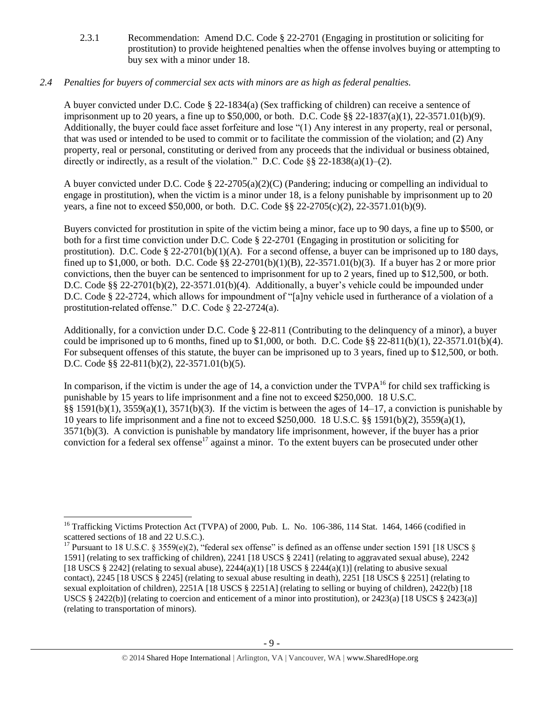2.3.1 Recommendation: Amend D.C. Code § 22-2701 (Engaging in prostitution or soliciting for prostitution) to provide heightened penalties when the offense involves buying or attempting to buy sex with a minor under 18.

# *2.4 Penalties for buyers of commercial sex acts with minors are as high as federal penalties.*

A buyer convicted under D.C. Code § 22-1834(a) (Sex trafficking of children) can receive a sentence of imprisonment up to 20 years, a fine up to \$50,000, or both. D.C. Code §§ 22-1837(a)(1), 22-3571.01(b)(9). Additionally, the buyer could face asset forfeiture and lose "(1) Any interest in any property, real or personal, that was used or intended to be used to commit or to facilitate the commission of the violation; and (2) Any property, real or personal, constituting or derived from any proceeds that the individual or business obtained, directly or indirectly, as a result of the violation." D.C. Code  $\S$ § 22-1838(a)(1)–(2).

A buyer convicted under D.C. Code § 22-2705(a)(2)(C) (Pandering; inducing or compelling an individual to engage in prostitution), when the victim is a minor under 18, is a felony punishable by imprisonment up to 20 years, a fine not to exceed \$50,000, or both. D.C. Code §§ 22-2705(c)(2), 22-3571.01(b)(9).

Buyers convicted for prostitution in spite of the victim being a minor, face up to 90 days, a fine up to \$500, or both for a first time conviction under D.C. Code § 22-2701 (Engaging in prostitution or soliciting for prostitution). D.C. Code  $\S$  22-2701(b)(1)(A). For a second offense, a buyer can be imprisoned up to 180 days, fined up to \$1,000, or both. D.C. Code §§ 22-2701(b)(1)(B), 22-3571.01(b)(3). If a buyer has 2 or more prior convictions, then the buyer can be sentenced to imprisonment for up to 2 years, fined up to \$12,500, or both. D.C. Code §§ 22-2701(b)(2), 22-3571.01(b)(4). Additionally, a buyer's vehicle could be impounded under D.C. Code § 22-2724, which allows for impoundment of "[a]ny vehicle used in furtherance of a violation of a prostitution-related offense." D.C. Code § 22-2724(a).

Additionally, for a conviction under D.C. Code § 22-811 (Contributing to the delinquency of a minor), a buyer could be imprisoned up to 6 months, fined up to  $$1,000$ , or both. D.C. Code  $§$ § 22-811(b)(1), 22-3571.01(b)(4). For subsequent offenses of this statute, the buyer can be imprisoned up to 3 years, fined up to \$12,500, or both. D.C. Code §§ 22-811(b)(2), 22-3571.01(b)(5).

<span id="page-8-1"></span><span id="page-8-0"></span>In comparison, if the victim is under the age of 14, a conviction under the  $TVPA^{16}$  for child sex trafficking is punishable by 15 years to life imprisonment and a fine not to exceed \$250,000. 18 U.S.C. §§ 1591(b)(1),  $3559(a)(1)$ ,  $3571(b)(3)$ . If the victim is between the ages of 14–17, a conviction is punishable by 10 years to life imprisonment and a fine not to exceed \$250,000. 18 U.S.C. §§ 1591(b)(2), 3559(a)(1), 3571(b)(3). A conviction is punishable by mandatory life imprisonment, however, if the buyer has a prior conviction for a federal sex offense<sup>17</sup> against a minor. To the extent buyers can be prosecuted under other

l

<sup>&</sup>lt;sup>16</sup> Trafficking Victims Protection Act (TVPA) of 2000, Pub. L. No. 106-386, 114 Stat. 1464, 1466 (codified in scattered sections of 18 and 22 U.S.C.).

<sup>&</sup>lt;sup>17</sup> Pursuant to 18 U.S.C. § 3559(e)(2), "federal sex offense" is defined as an offense under section 1591 [18 USCS § 1591] (relating to sex trafficking of children), 2241 [18 USCS § 2241] (relating to aggravated sexual abuse), 2242 [18 USCS § 2242] (relating to sexual abuse),  $2244(a)(1)$  [18 USCS § 2244(a)(1)] (relating to abusive sexual contact), 2245 [18 USCS § 2245] (relating to sexual abuse resulting in death), 2251 [18 USCS § 2251] (relating to sexual exploitation of children), 2251A [18 USCS § 2251A] (relating to selling or buying of children), 2422(b) [18 USCS § 2422(b)] (relating to coercion and enticement of a minor into prostitution), or 2423(a) [18 USCS § 2423(a)] (relating to transportation of minors).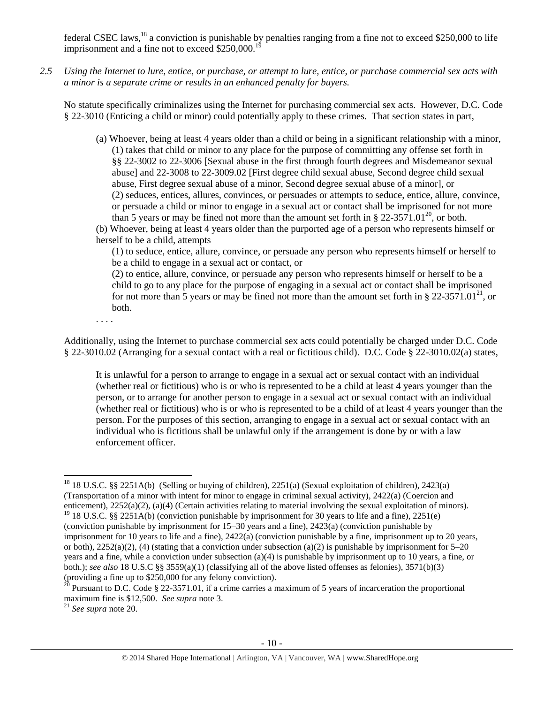federal CSEC laws, <sup>18</sup> a conviction is punishable by penalties ranging from a fine not to exceed \$250,000 to life imprisonment and a fine not to exceed  $$250,000$ .<sup>1</sup>

*2.5 Using the Internet to lure, entice, or purchase, or attempt to lure, entice, or purchase commercial sex acts with a minor is a separate crime or results in an enhanced penalty for buyers.*

No statute specifically criminalizes using the Internet for purchasing commercial sex acts. However, D.C. Code § 22-3010 (Enticing a child or minor) could potentially apply to these crimes. That section states in part,

(a) Whoever, being at least 4 years older than a child or being in a significant relationship with a minor, (1) takes that child or minor to any place for the purpose of committing any offense set forth in §§ 22-3002 to 22-3006 [Sexual abuse in the first through fourth degrees and Misdemeanor sexual abuse] and 22-3008 to 22-3009.02 [First degree child sexual abuse, Second degree child sexual abuse, First degree sexual abuse of a minor, Second degree sexual abuse of a minor], or (2) seduces, entices, allures, convinces, or persuades or attempts to seduce, entice, allure, convince, or persuade a child or minor to engage in a sexual act or contact shall be imprisoned for not more than 5 years or may be fined not more than the amount set forth in § 22-3571.01<sup>20</sup>, or both.

(b) Whoever, being at least 4 years older than the purported age of a person who represents himself or herself to be a child, attempts

<span id="page-9-0"></span>(1) to seduce, entice, allure, convince, or persuade any person who represents himself or herself to be a child to engage in a sexual act or contact, or

(2) to entice, allure, convince, or persuade any person who represents himself or herself to be a child to go to any place for the purpose of engaging in a sexual act or contact shall be imprisoned for not more than 5 years or may be fined not more than the amount set forth in § 22-3571.01<sup>21</sup>, or both.

. . . .

Additionally, using the Internet to purchase commercial sex acts could potentially be charged under D.C. Code § 22-3010.02 (Arranging for a sexual contact with a real or fictitious child). D.C. Code § 22-3010.02(a) states,

It is unlawful for a person to arrange to engage in a sexual act or sexual contact with an individual (whether real or fictitious) who is or who is represented to be a child at least 4 years younger than the person, or to arrange for another person to engage in a sexual act or sexual contact with an individual (whether real or fictitious) who is or who is represented to be a child of at least 4 years younger than the person. For the purposes of this section, arranging to engage in a sexual act or sexual contact with an individual who is fictitious shall be unlawful only if the arrangement is done by or with a law enforcement officer.

<sup>21</sup> *See supra* note [20.](#page-9-0)

 $\overline{\phantom{a}}$ <sup>18</sup> 18 U.S.C. §§ 2251A(b) (Selling or buying of children), 2251(a) (Sexual exploitation of children), 2423(a) (Transportation of a minor with intent for minor to engage in criminal sexual activity), 2422(a) (Coercion and enticement), 2252(a)(2), (a)(4) (Certain activities relating to material involving the sexual exploitation of minors).

<sup>&</sup>lt;sup>19</sup> 18 U.S.C. §§ 2251A(b) (conviction punishable by imprisonment for 30 years to life and a fine), 2251(e) (conviction punishable by imprisonment for 15–30 years and a fine), 2423(a) (conviction punishable by imprisonment for 10 years to life and a fine), 2422(a) (conviction punishable by a fine, imprisonment up to 20 years, or both),  $2252(a)(2)$ , (4) (stating that a conviction under subsection (a)(2) is punishable by imprisonment for 5–20 years and a fine, while a conviction under subsection (a)(4) is punishable by imprisonment up to 10 years, a fine, or both.); *see also* 18 U.S.C §§ 3559(a)(1) (classifying all of the above listed offenses as felonies), 3571(b)(3) (providing a fine up to \$250,000 for any felony conviction).

<sup>&</sup>lt;sup>20</sup> Pursuant to D.C. Code § 22-3571.01, if a crime carries a maximum of 5 years of incarceration the proportional maximum fine is \$12,500. *See supra* not[e 3.](#page-1-0)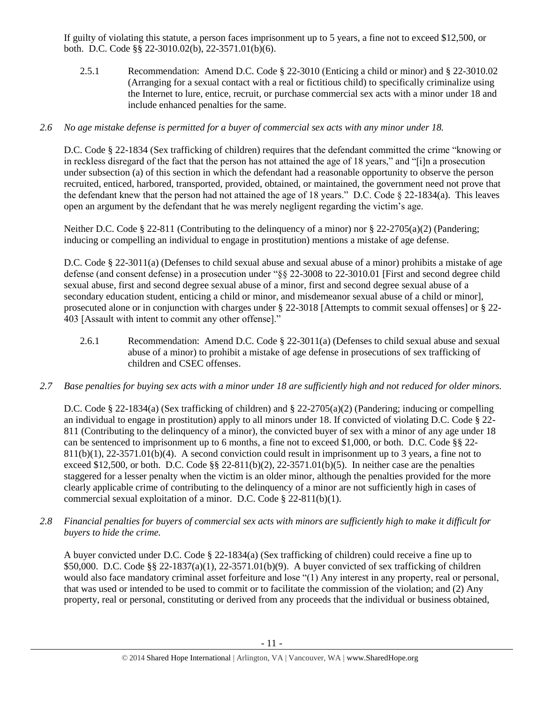If guilty of violating this statute, a person faces imprisonment up to 5 years, a fine not to exceed \$12,500, or both. D.C. Code §§ 22-3010.02(b), 22-3571.01(b)(6).

2.5.1 Recommendation: Amend D.C. Code § 22-3010 (Enticing a child or minor) and § 22-3010.02 (Arranging for a sexual contact with a real or fictitious child) to specifically criminalize using the Internet to lure, entice, recruit, or purchase commercial sex acts with a minor under 18 and include enhanced penalties for the same.

# *2.6 No age mistake defense is permitted for a buyer of commercial sex acts with any minor under 18.*

D.C. Code § 22-1834 (Sex trafficking of children) requires that the defendant committed the crime "knowing or in reckless disregard of the fact that the person has not attained the age of 18 years," and "[i]n a prosecution under subsection (a) of this section in which the defendant had a reasonable opportunity to observe the person recruited, enticed, harbored, transported, provided, obtained, or maintained, the government need not prove that the defendant knew that the person had not attained the age of 18 years." D.C. Code  $\S$  22-1834(a). This leaves open an argument by the defendant that he was merely negligent regarding the victim's age.

Neither D.C. Code § 22-811 (Contributing to the delinquency of a minor) nor § 22-2705(a)(2) (Pandering; inducing or compelling an individual to engage in prostitution) mentions a mistake of age defense.

D.C. Code § 22-3011(a) (Defenses to child sexual abuse and sexual abuse of a minor) prohibits a mistake of age defense (and consent defense) in a prosecution under "§§ 22-3008 to 22-3010.01 [First and second degree child sexual abuse, first and second degree sexual abuse of a minor, first and second degree sexual abuse of a secondary education student, enticing a child or minor, and misdemeanor sexual abuse of a child or minor], prosecuted alone or in conjunction with charges under § 22-3018 [Attempts to commit sexual offenses] or § 22- 403 [Assault with intent to commit any other offense]."

- 2.6.1 Recommendation: Amend D.C. Code § 22-3011(a) (Defenses to child sexual abuse and sexual abuse of a minor) to prohibit a mistake of age defense in prosecutions of sex trafficking of children and CSEC offenses.
- *2.7 Base penalties for buying sex acts with a minor under 18 are sufficiently high and not reduced for older minors.*

D.C. Code § 22-1834(a) (Sex trafficking of children) and § 22-2705(a)(2) (Pandering; inducing or compelling an individual to engage in prostitution) apply to all minors under 18. If convicted of violating D.C. Code § 22- 811 (Contributing to the delinquency of a minor), the convicted buyer of sex with a minor of any age under 18 can be sentenced to imprisonment up to 6 months, a fine not to exceed \$1,000, or both. D.C. Code §§ 22-  $811(b)(1)$ ,  $22-3571.01(b)(4)$ . A second conviction could result in imprisonment up to 3 years, a fine not to exceed \$12,500, or both. D.C. Code §§ 22-811(b)(2), 22-3571.01(b)(5). In neither case are the penalties staggered for a lesser penalty when the victim is an older minor, although the penalties provided for the more clearly applicable crime of contributing to the delinquency of a minor are not sufficiently high in cases of commercial sexual exploitation of a minor. D.C. Code § 22-811(b)(1).

*2.8 Financial penalties for buyers of commercial sex acts with minors are sufficiently high to make it difficult for buyers to hide the crime.*

A buyer convicted under D.C. Code § 22-1834(a) (Sex trafficking of children) could receive a fine up to \$50,000. D.C. Code §§ 22-1837(a)(1), 22-3571.01(b)(9). A buyer convicted of sex trafficking of children would also face mandatory criminal asset forfeiture and lose "(1) Any interest in any property, real or personal, that was used or intended to be used to commit or to facilitate the commission of the violation; and (2) Any property, real or personal, constituting or derived from any proceeds that the individual or business obtained,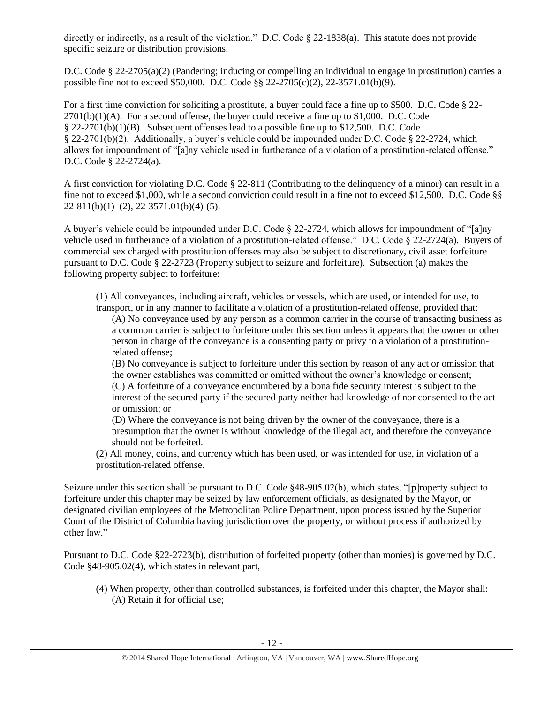directly or indirectly, as a result of the violation." D.C. Code § 22-1838(a). This statute does not provide specific seizure or distribution provisions.

D.C. Code § 22-2705(a)(2) (Pandering; inducing or compelling an individual to engage in prostitution) carries a possible fine not to exceed \$50,000. D.C. Code §§ 22-2705(c)(2), 22-3571.01(b)(9).

For a first time conviction for soliciting a prostitute, a buyer could face a fine up to \$500. D.C. Code § 22-  $2701(b)(1)(A)$ . For a second offense, the buyer could receive a fine up to \$1,000. D.C. Code § 22-2701(b)(1)(B). Subsequent offenses lead to a possible fine up to \$12,500. D.C. Code § 22-2701(b)(2). Additionally, a buyer's vehicle could be impounded under D.C. Code § 22-2724, which allows for impoundment of "[a]ny vehicle used in furtherance of a violation of a prostitution-related offense." D.C. Code § 22-2724(a).

A first conviction for violating D.C. Code § 22-811 (Contributing to the delinquency of a minor) can result in a fine not to exceed \$1,000, while a second conviction could result in a fine not to exceed \$12,500. D.C. Code §§  $22-811(b)(1)-(2)$ ,  $22-3571.01(b)(4)-(5)$ .

A buyer's vehicle could be impounded under D.C. Code § 22-2724, which allows for impoundment of "[a]ny vehicle used in furtherance of a violation of a prostitution-related offense." D.C. Code § 22-2724(a). Buyers of commercial sex charged with prostitution offenses may also be subject to discretionary, civil asset forfeiture pursuant to D.C. Code § 22-2723 (Property subject to seizure and forfeiture). Subsection (a) makes the following property subject to forfeiture:

(1) All conveyances, including aircraft, vehicles or vessels, which are used, or intended for use, to transport, or in any manner to facilitate a violation of a prostitution-related offense, provided that:

(A) No conveyance used by any person as a common carrier in the course of transacting business as a common carrier is subject to forfeiture under this section unless it appears that the owner or other person in charge of the conveyance is a consenting party or privy to a violation of a prostitutionrelated offense;

(B) No conveyance is subject to forfeiture under this section by reason of any act or omission that the owner establishes was committed or omitted without the owner's knowledge or consent; (C) A forfeiture of a conveyance encumbered by a bona fide security interest is subject to the

interest of the secured party if the secured party neither had knowledge of nor consented to the act or omission; or

(D) Where the conveyance is not being driven by the owner of the conveyance, there is a presumption that the owner is without knowledge of the illegal act, and therefore the conveyance should not be forfeited.

(2) All money, coins, and currency which has been used, or was intended for use, in violation of a prostitution-related offense.

Seizure under this section shall be pursuant to D.C. Code §48-905.02(b), which states, "[p]roperty subject to forfeiture under this chapter may be seized by law enforcement officials, as designated by the Mayor, or designated civilian employees of the Metropolitan Police Department, upon process issued by the Superior Court of the District of Columbia having jurisdiction over the property, or without process if authorized by other law."

Pursuant to D.C. Code §22-2723(b), distribution of forfeited property (other than monies) is governed by D.C. Code §48-905.02(4), which states in relevant part,

(4) When property, other than controlled substances, is forfeited under this chapter, the Mayor shall: (A) Retain it for official use;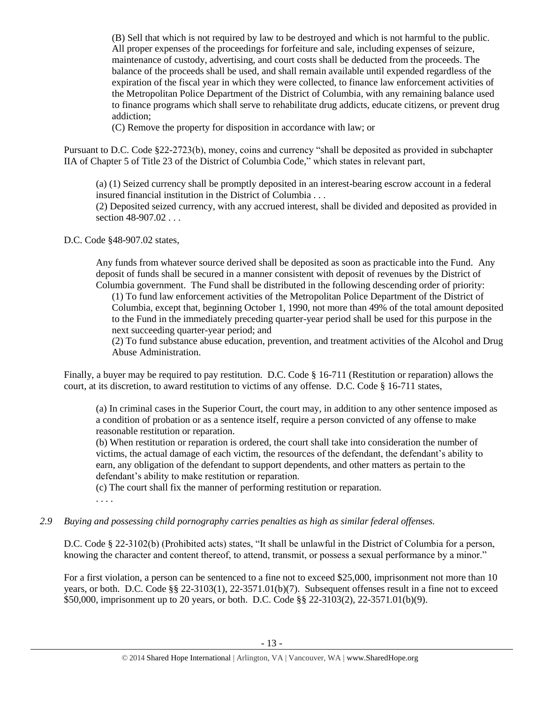(B) Sell that which is not required by law to be destroyed and which is not harmful to the public. All proper expenses of the proceedings for forfeiture and sale, including expenses of seizure, maintenance of custody, advertising, and court costs shall be deducted from the proceeds. The balance of the proceeds shall be used, and shall remain available until expended regardless of the expiration of the fiscal year in which they were collected, to finance law enforcement activities of the Metropolitan Police Department of the District of Columbia, with any remaining balance used to finance programs which shall serve to rehabilitate drug addicts, educate citizens, or prevent drug addiction;

(C) Remove the property for disposition in accordance with law; or

Pursuant to D.C. Code §22-2723(b), money, coins and currency "shall be deposited as provided in subchapter IIA of Chapter 5 of Title 23 of the District of Columbia Code," which states in relevant part,

(a) (1) Seized currency shall be promptly deposited in an interest-bearing escrow account in a federal insured financial institution in the District of Columbia . . .

(2) Deposited seized currency, with any accrued interest, shall be divided and deposited as provided in section 48-907.02 . . .

D.C. Code §48-907.02 states,

Any funds from whatever source derived shall be deposited as soon as practicable into the Fund. Any deposit of funds shall be secured in a manner consistent with deposit of revenues by the District of Columbia government. The Fund shall be distributed in the following descending order of priority:

(1) To fund law enforcement activities of the Metropolitan Police Department of the District of Columbia, except that, beginning October 1, 1990, not more than 49% of the total amount deposited to the Fund in the immediately preceding quarter-year period shall be used for this purpose in the next succeeding quarter-year period; and

(2) To fund substance abuse education, prevention, and treatment activities of the Alcohol and Drug Abuse Administration.

Finally, a buyer may be required to pay restitution. D.C. Code § 16-711 (Restitution or reparation) allows the court, at its discretion, to award restitution to victims of any offense. D.C. Code § 16-711 states,

(a) In criminal cases in the Superior Court, the court may, in addition to any other sentence imposed as a condition of probation or as a sentence itself, require a person convicted of any offense to make reasonable restitution or reparation.

(b) When restitution or reparation is ordered, the court shall take into consideration the number of victims, the actual damage of each victim, the resources of the defendant, the defendant's ability to earn, any obligation of the defendant to support dependents, and other matters as pertain to the defendant's ability to make restitution or reparation.

(c) The court shall fix the manner of performing restitution or reparation.

. . . .

# *2.9 Buying and possessing child pornography carries penalties as high as similar federal offenses.*

D.C. Code § 22-3102(b) (Prohibited acts) states, "It shall be unlawful in the District of Columbia for a person, knowing the character and content thereof, to attend, transmit, or possess a sexual performance by a minor."

For a first violation, a person can be sentenced to a fine not to exceed \$25,000, imprisonment not more than 10 years, or both. D.C. Code §§ 22-3103(1), 22-3571.01(b)(7). Subsequent offenses result in a fine not to exceed \$50,000, imprisonment up to 20 years, or both. D.C. Code §§ 22-3103(2), 22-3571.01(b)(9).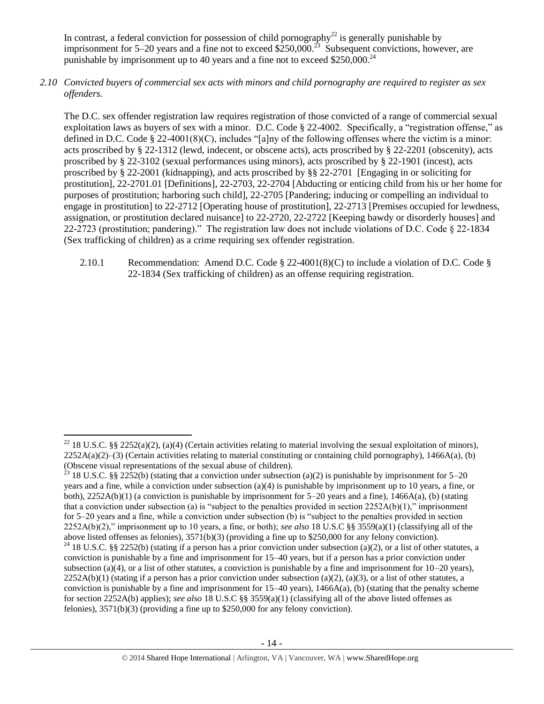In contrast, a federal conviction for possession of child pornography<sup>22</sup> is generally punishable by imprisonment for 5–20 years and a fine not to exceed  $\frac{$250,000^2}{2}$  Subsequent convictions, however, are punishable by imprisonment up to 40 years and a fine not to exceed  $$250,000.<sup>24</sup>$ 

*2.10 Convicted buyers of commercial sex acts with minors and child pornography are required to register as sex offenders.*

The D.C. sex offender registration law requires registration of those convicted of a range of commercial sexual exploitation laws as buyers of sex with a minor. D.C. Code § 22-4002. Specifically, a "registration offense," as defined in D.C. Code § 22-4001(8)(C), includes "[a]ny of the following offenses where the victim is a minor: acts proscribed by § 22-1312 (lewd, indecent, or obscene acts), acts proscribed by § 22-2201 (obscenity), acts proscribed by § 22-3102 (sexual performances using minors), acts proscribed by § 22-1901 (incest), acts proscribed by § 22-2001 (kidnapping), and acts proscribed by §§ 22-2701 [Engaging in or soliciting for prostitution], 22-2701.01 [Definitions], 22-2703, 22-2704 [Abducting or enticing child from his or her home for purposes of prostitution; harboring such child], 22-2705 [Pandering; inducing or compelling an individual to engage in prostitution] to 22-2712 [Operating house of prostitution], 22-2713 [Premises occupied for lewdness, assignation, or prostitution declared nuisance] to 22-2720, 22-2722 [Keeping bawdy or disorderly houses] and 22-2723 (prostitution; pandering)." The registration law does not include violations of D.C. Code § 22-1834 (Sex trafficking of children) as a crime requiring sex offender registration.

2.10.1 Recommendation: Amend D.C. Code § 22-4001(8)(C) to include a violation of D.C. Code § 22-1834 (Sex trafficking of children) as an offense requiring registration.

 $\overline{a}$ <sup>22</sup> 18 U.S.C. §§ 2252(a)(2), (a)(4) (Certain activities relating to material involving the sexual exploitation of minors),  $2252A(a)(2)$ –(3) (Certain activities relating to material constituting or containing child pornography), 1466A(a), (b) (Obscene visual representations of the sexual abuse of children).

<sup>&</sup>lt;sup>23</sup> 18 U.S.C. §§ 2252(b) (stating that a conviction under subsection (a)(2) is punishable by imprisonment for 5–20 years and a fine, while a conviction under subsection (a)(4) is punishable by imprisonment up to 10 years, a fine, or both), 2252A(b)(1) (a conviction is punishable by imprisonment for 5–20 years and a fine), 1466A(a), (b) (stating that a conviction under subsection (a) is "subject to the penalties provided in section  $2252A(b)(1)$ ," imprisonment for 5–20 years and a fine, while a conviction under subsection (b) is "subject to the penalties provided in section 2252A(b)(2)," imprisonment up to 10 years, a fine, or both); *see also* 18 U.S.C §§ 3559(a)(1) (classifying all of the above listed offenses as felonies), 3571(b)(3) (providing a fine up to \$250,000 for any felony conviction). <sup>24</sup> 18 U.S.C. §§ 2252(b) (stating if a person has a prior conviction under subsection (a)(2), or a list of other statutes, a conviction is punishable by a fine and imprisonment for 15–40 years, but if a person has a prior conviction under subsection (a)(4), or a list of other statutes, a conviction is punishable by a fine and imprisonment for  $10-20$  years),  $2252A(b)(1)$  (stating if a person has a prior conviction under subsection (a)(2), (a)(3), or a list of other statutes, a conviction is punishable by a fine and imprisonment for  $15-40$  years),  $1466A(a)$ , (b) (stating that the penalty scheme for section 2252A(b) applies); *see also* 18 U.S.C §§ 3559(a)(1) (classifying all of the above listed offenses as felonies), 3571(b)(3) (providing a fine up to \$250,000 for any felony conviction).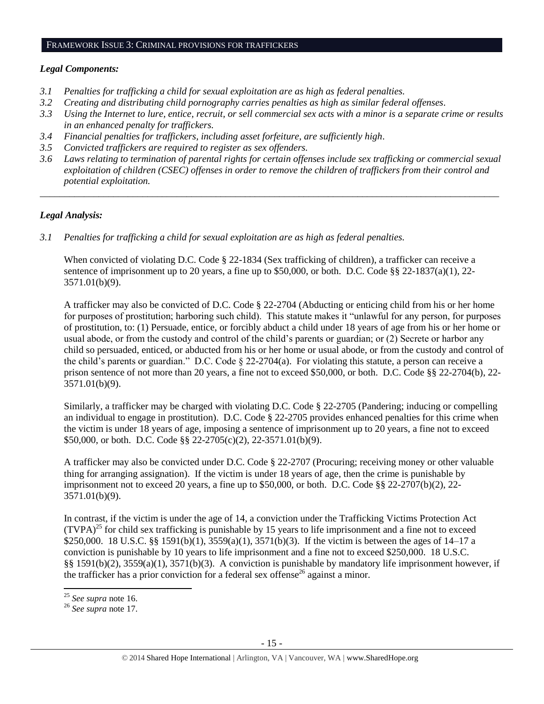#### FRAMEWORK ISSUE 3: CRIMINAL PROVISIONS FOR TRAFFICKERS

#### *Legal Components:*

- *3.1 Penalties for trafficking a child for sexual exploitation are as high as federal penalties.*
- *3.2 Creating and distributing child pornography carries penalties as high as similar federal offenses.*
- *3.3 Using the Internet to lure, entice, recruit, or sell commercial sex acts with a minor is a separate crime or results in an enhanced penalty for traffickers.*
- *3.4 Financial penalties for traffickers, including asset forfeiture, are sufficiently high*.
- *3.5 Convicted traffickers are required to register as sex offenders.*
- *3.6 Laws relating to termination of parental rights for certain offenses include sex trafficking or commercial sexual exploitation of children (CSEC) offenses in order to remove the children of traffickers from their control and potential exploitation.*

*\_\_\_\_\_\_\_\_\_\_\_\_\_\_\_\_\_\_\_\_\_\_\_\_\_\_\_\_\_\_\_\_\_\_\_\_\_\_\_\_\_\_\_\_\_\_\_\_\_\_\_\_\_\_\_\_\_\_\_\_\_\_\_\_\_\_\_\_\_\_\_\_\_\_\_\_\_\_\_\_\_\_\_\_\_\_\_\_\_\_\_\_\_\_*

# *Legal Analysis:*

*3.1 Penalties for trafficking a child for sexual exploitation are as high as federal penalties.*

When convicted of violating D.C. Code § 22-1834 (Sex trafficking of children), a trafficker can receive a sentence of imprisonment up to 20 years, a fine up to \$50,000, or both. D.C. Code §§ 22-1837(a)(1), 22- 3571.01(b)(9).

A trafficker may also be convicted of D.C. Code § 22-2704 (Abducting or enticing child from his or her home for purposes of prostitution; harboring such child). This statute makes it "unlawful for any person, for purposes of prostitution, to: (1) Persuade, entice, or forcibly abduct a child under 18 years of age from his or her home or usual abode, or from the custody and control of the child's parents or guardian; or (2) Secrete or harbor any child so persuaded, enticed, or abducted from his or her home or usual abode, or from the custody and control of the child's parents or guardian." D.C. Code § 22-2704(a). For violating this statute, a person can receive a prison sentence of not more than 20 years, a fine not to exceed \$50,000, or both. D.C. Code §§ 22-2704(b), 22- 3571.01(b)(9).

Similarly, a trafficker may be charged with violating D.C. Code § 22-2705 (Pandering; inducing or compelling an individual to engage in prostitution). D.C. Code § 22-2705 provides enhanced penalties for this crime when the victim is under 18 years of age, imposing a sentence of imprisonment up to 20 years, a fine not to exceed \$50,000, or both. D.C. Code §§ 22-2705(c)(2), 22-3571.01(b)(9).

A trafficker may also be convicted under D.C. Code § 22-2707 (Procuring; receiving money or other valuable thing for arranging assignation). If the victim is under 18 years of age, then the crime is punishable by imprisonment not to exceed 20 years, a fine up to  $$50,000$ , or both. D.C. Code §§ 22-2707(b)(2), 22-3571.01(b)(9).

In contrast, if the victim is under the age of 14, a conviction under the Trafficking Victims Protection Act  $(TVPA)^{25}$  for child sex trafficking is punishable by 15 years to life imprisonment and a fine not to exceed \$250,000. 18 U.S.C. §§ 1591(b)(1), 3559(a)(1), 3571(b)(3). If the victim is between the ages of 14–17 a conviction is punishable by 10 years to life imprisonment and a fine not to exceed \$250,000. 18 U.S.C. §§ 1591(b)(2), 3559(a)(1), 3571(b)(3). A conviction is punishable by mandatory life imprisonment however, if the trafficker has a prior conviction for a federal sex offense<sup>26</sup> against a minor.

 $\overline{a}$ <sup>25</sup> *See supra* note [16.](#page-8-0) 

<sup>26</sup> *See supra* note [17.](#page-8-1)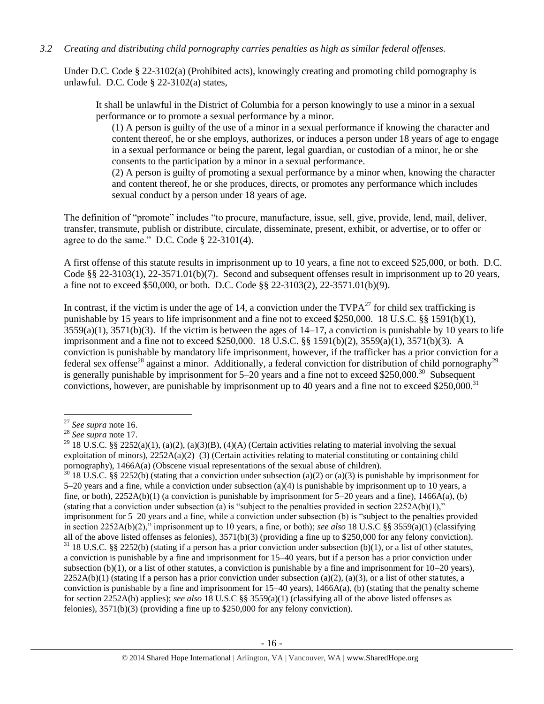## *3.2 Creating and distributing child pornography carries penalties as high as similar federal offenses.*

Under D.C. Code § 22-3102(a) (Prohibited acts), knowingly creating and promoting child pornography is unlawful. D.C. Code § 22-3102(a) states,

It shall be unlawful in the District of Columbia for a person knowingly to use a minor in a sexual performance or to promote a sexual performance by a minor.

(1) A person is guilty of the use of a minor in a sexual performance if knowing the character and content thereof, he or she employs, authorizes, or induces a person under 18 years of age to engage in a sexual performance or being the parent, legal guardian, or custodian of a minor, he or she consents to the participation by a minor in a sexual performance.

(2) A person is guilty of promoting a sexual performance by a minor when, knowing the character and content thereof, he or she produces, directs, or promotes any performance which includes sexual conduct by a person under 18 years of age.

The definition of "promote" includes "to procure, manufacture, issue, sell, give, provide, lend, mail, deliver, transfer, transmute, publish or distribute, circulate, disseminate, present, exhibit, or advertise, or to offer or agree to do the same." D.C. Code § 22-3101(4).

A first offense of this statute results in imprisonment up to 10 years, a fine not to exceed \$25,000, or both. D.C. Code §§ 22-3103(1), 22-3571.01(b)(7). Second and subsequent offenses result in imprisonment up to 20 years, a fine not to exceed \$50,000, or both. D.C. Code §§ 22-3103(2), 22-3571.01(b)(9).

In contrast, if the victim is under the age of 14, a conviction under the  $TVPA^{27}$  for child sex trafficking is punishable by 15 years to life imprisonment and a fine not to exceed \$250,000. 18 U.S.C. §§ 1591(b)(1),  $3559(a)(1)$ ,  $3571(b)(3)$ . If the victim is between the ages of  $14-17$ , a conviction is punishable by 10 years to life imprisonment and a fine not to exceed \$250,000. 18 U.S.C. §§ 1591(b)(2), 3559(a)(1), 3571(b)(3). A conviction is punishable by mandatory life imprisonment, however, if the trafficker has a prior conviction for a federal sex offense<sup>28</sup> against a minor. Additionally, a federal conviction for distribution of child pornography<sup>29</sup> is generally punishable by imprisonment for  $5-20$  years and a fine not to exceed \$250,000.<sup>30</sup> Subsequent convictions, however, are punishable by imprisonment up to 40 years and a fine not to exceed \$250,000.<sup>31</sup>

 $\overline{\phantom{a}}$ <sup>27</sup> *See supra* note [16.](#page-8-0)

<sup>28</sup> *See supra* note [17.](#page-8-1) 

<sup>&</sup>lt;sup>29</sup> 18 U.S.C. §§ 2252(a)(1), (a)(2), (a)(3)(B), (4)(A) (Certain activities relating to material involving the sexual exploitation of minors), 2252A(a)(2)–(3) (Certain activities relating to material constituting or containing child pornography), 1466A(a) (Obscene visual representations of the sexual abuse of children).

 $30$  18 U.S.C. §§ 2252(b) (stating that a conviction under subsection (a)(2) or (a)(3) is punishable by imprisonment for 5–20 years and a fine, while a conviction under subsection (a)(4) is punishable by imprisonment up to 10 years, a fine, or both),  $2252A(b)(1)$  (a conviction is punishable by imprisonment for 5–20 years and a fine),  $1466A(a)$ , (b) (stating that a conviction under subsection (a) is "subject to the penalties provided in section  $2252A(b)(1)$ ," imprisonment for 5–20 years and a fine, while a conviction under subsection (b) is "subject to the penalties provided in section 2252A(b)(2)," imprisonment up to 10 years, a fine, or both); *see also* 18 U.S.C §§ 3559(a)(1) (classifying all of the above listed offenses as felonies),  $3571(b)(3)$  (providing a fine up to \$250,000 for any felony conviction).  $31$  18 U.S.C. §§ 2252(b) (stating if a person has a prior conviction under subsection (b)(1), or a list of other statutes, a conviction is punishable by a fine and imprisonment for 15–40 years, but if a person has a prior conviction under subsection (b)(1), or a list of other statutes, a conviction is punishable by a fine and imprisonment for  $10-20$  years),  $2252A(b)(1)$  (stating if a person has a prior conviction under subsection (a)(2), (a)(3), or a list of other statutes, a conviction is punishable by a fine and imprisonment for  $15-40$  years),  $1466A(a)$ , (b) (stating that the penalty scheme for section 2252A(b) applies); *see also* 18 U.S.C §§ 3559(a)(1) (classifying all of the above listed offenses as felonies), 3571(b)(3) (providing a fine up to \$250,000 for any felony conviction).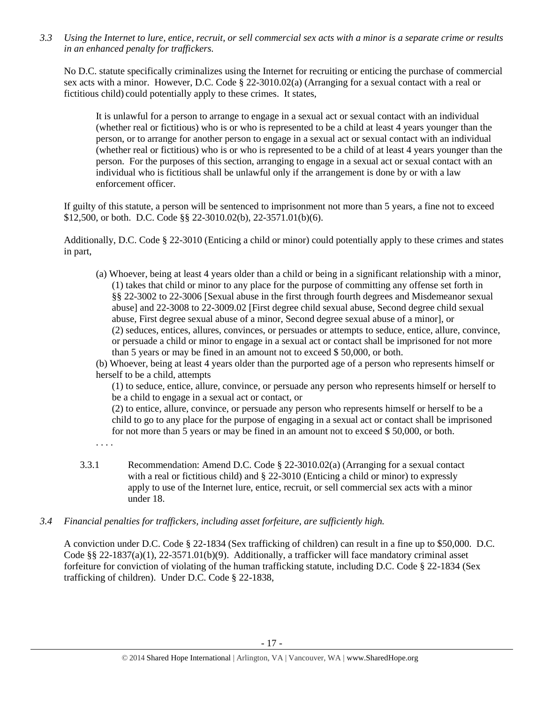*3.3 Using the Internet to lure, entice, recruit, or sell commercial sex acts with a minor is a separate crime or results in an enhanced penalty for traffickers.*

No D.C. statute specifically criminalizes using the Internet for recruiting or enticing the purchase of commercial sex acts with a minor. However, D.C. Code § 22-3010.02(a) (Arranging for a sexual contact with a real or fictitious child) could potentially apply to these crimes. It states,

It is unlawful for a person to arrange to engage in a sexual act or sexual contact with an individual (whether real or fictitious) who is or who is represented to be a child at least 4 years younger than the person, or to arrange for another person to engage in a sexual act or sexual contact with an individual (whether real or fictitious) who is or who is represented to be a child of at least 4 years younger than the person. For the purposes of this section, arranging to engage in a sexual act or sexual contact with an individual who is fictitious shall be unlawful only if the arrangement is done by or with a law enforcement officer.

If guilty of this statute, a person will be sentenced to imprisonment not more than 5 years, a fine not to exceed \$12,500, or both. D.C. Code §§ 22-3010.02(b), 22-3571.01(b)(6).

Additionally, D.C. Code § 22-3010 (Enticing a child or minor) could potentially apply to these crimes and states in part,

(a) Whoever, being at least 4 years older than a child or being in a significant relationship with a minor, (1) takes that child or minor to any place for the purpose of committing any offense set forth in §§ 22-3002 to 22-3006 [Sexual abuse in the first through fourth degrees and Misdemeanor sexual abuse] and 22-3008 to 22-3009.02 [First degree child sexual abuse, Second degree child sexual abuse, First degree sexual abuse of a minor, Second degree sexual abuse of a minor], or (2) seduces, entices, allures, convinces, or persuades or attempts to seduce, entice, allure, convince, or persuade a child or minor to engage in a sexual act or contact shall be imprisoned for not more than 5 years or may be fined in an amount not to exceed \$ 50,000, or both.

(b) Whoever, being at least 4 years older than the purported age of a person who represents himself or herself to be a child, attempts

(1) to seduce, entice, allure, convince, or persuade any person who represents himself or herself to be a child to engage in a sexual act or contact, or

(2) to entice, allure, convince, or persuade any person who represents himself or herself to be a child to go to any place for the purpose of engaging in a sexual act or contact shall be imprisoned for not more than 5 years or may be fined in an amount not to exceed \$ 50,000, or both.

. . . .

- 3.3.1 Recommendation: Amend D.C. Code § 22-3010.02(a) (Arranging for a sexual contact with a real or fictitious child) and § 22-3010 (Enticing a child or minor) to expressly apply to use of the Internet lure, entice, recruit, or sell commercial sex acts with a minor under 18.
- *3.4 Financial penalties for traffickers, including asset forfeiture, are sufficiently high.*

A conviction under D.C. Code § 22-1834 (Sex trafficking of children) can result in a fine up to \$50,000. D.C. Code §§ 22-1837(a)(1), 22-3571.01(b)(9). Additionally, a trafficker will face mandatory criminal asset forfeiture for conviction of violating of the human trafficking statute, including D.C. Code § 22-1834 (Sex trafficking of children). Under D.C. Code § 22-1838,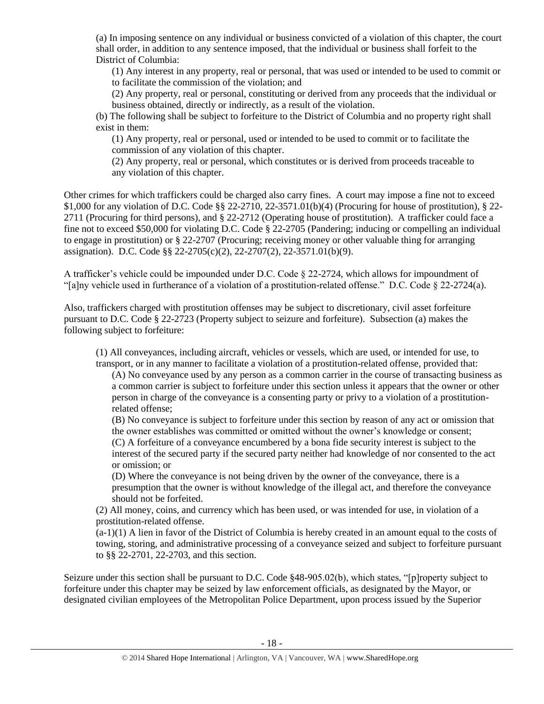(a) In imposing sentence on any individual or business convicted of a violation of this chapter, the court shall order, in addition to any sentence imposed, that the individual or business shall forfeit to the District of Columbia:

(1) Any interest in any property, real or personal, that was used or intended to be used to commit or to facilitate the commission of the violation; and

(2) Any property, real or personal, constituting or derived from any proceeds that the individual or business obtained, directly or indirectly, as a result of the violation.

(b) The following shall be subject to forfeiture to the District of Columbia and no property right shall exist in them:

(1) Any property, real or personal, used or intended to be used to commit or to facilitate the commission of any violation of this chapter.

(2) Any property, real or personal, which constitutes or is derived from proceeds traceable to any violation of this chapter.

Other crimes for which traffickers could be charged also carry fines. A court may impose a fine not to exceed \$1,000 for any violation of D.C. Code §§ 22-2710, 22-3571.01(b)(4) (Procuring for house of prostitution), § 22- 2711 (Procuring for third persons), and § 22-2712 (Operating house of prostitution). A trafficker could face a fine not to exceed \$50,000 for violating D.C. Code § 22-2705 (Pandering; inducing or compelling an individual to engage in prostitution) or § 22-2707 (Procuring; receiving money or other valuable thing for arranging assignation). D.C. Code §§ 22-2705(c)(2), 22-2707(2), 22-3571.01(b)(9).

A trafficker's vehicle could be impounded under D.C. Code § 22-2724, which allows for impoundment of "[a]ny vehicle used in furtherance of a violation of a prostitution-related offense." D.C. Code § 22-2724(a).

Also, traffickers charged with prostitution offenses may be subject to discretionary, civil asset forfeiture pursuant to D.C. Code § 22-2723 (Property subject to seizure and forfeiture). Subsection (a) makes the following subject to forfeiture:

(1) All conveyances, including aircraft, vehicles or vessels, which are used, or intended for use, to transport, or in any manner to facilitate a violation of a prostitution-related offense, provided that:

(A) No conveyance used by any person as a common carrier in the course of transacting business as a common carrier is subject to forfeiture under this section unless it appears that the owner or other person in charge of the conveyance is a consenting party or privy to a violation of a prostitutionrelated offense;

(B) No conveyance is subject to forfeiture under this section by reason of any act or omission that the owner establishes was committed or omitted without the owner's knowledge or consent; (C) A forfeiture of a conveyance encumbered by a bona fide security interest is subject to the interest of the secured party if the secured party neither had knowledge of nor consented to the act or omission; or

(D) Where the conveyance is not being driven by the owner of the conveyance, there is a presumption that the owner is without knowledge of the illegal act, and therefore the conveyance should not be forfeited.

(2) All money, coins, and currency which has been used, or was intended for use, in violation of a prostitution-related offense.

 $(a-1)(1)$  A lien in favor of the District of Columbia is hereby created in an amount equal to the costs of towing, storing, and administrative processing of a conveyance seized and subject to forfeiture pursuant to §§ 22-2701, 22-2703, and this section.

Seizure under this section shall be pursuant to D.C. Code §48-905.02(b), which states, "[p]roperty subject to forfeiture under this chapter may be seized by law enforcement officials, as designated by the Mayor, or designated civilian employees of the Metropolitan Police Department, upon process issued by the Superior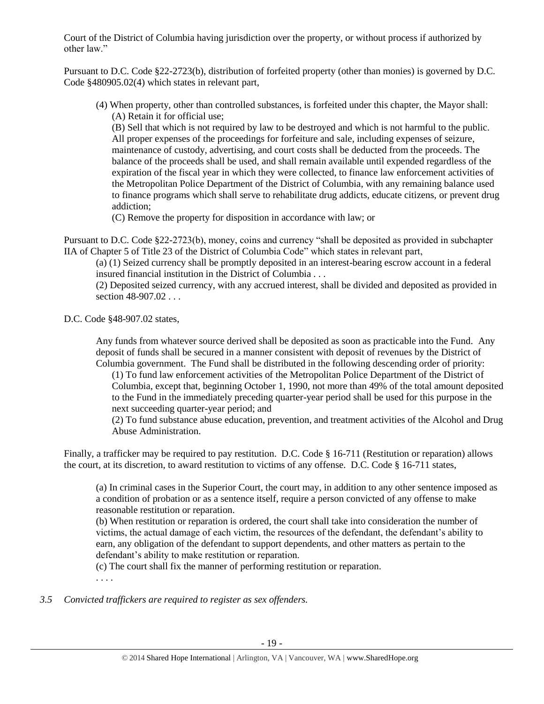Court of the District of Columbia having jurisdiction over the property, or without process if authorized by other law."

Pursuant to D.C. Code §22-2723(b), distribution of forfeited property (other than monies) is governed by D.C. Code §480905.02(4) which states in relevant part,

(4) When property, other than controlled substances, is forfeited under this chapter, the Mayor shall: (A) Retain it for official use;

(B) Sell that which is not required by law to be destroyed and which is not harmful to the public. All proper expenses of the proceedings for forfeiture and sale, including expenses of seizure, maintenance of custody, advertising, and court costs shall be deducted from the proceeds. The balance of the proceeds shall be used, and shall remain available until expended regardless of the expiration of the fiscal year in which they were collected, to finance law enforcement activities of the Metropolitan Police Department of the District of Columbia, with any remaining balance used to finance programs which shall serve to rehabilitate drug addicts, educate citizens, or prevent drug addiction;

(C) Remove the property for disposition in accordance with law; or

Pursuant to D.C. Code §22-2723(b), money, coins and currency "shall be deposited as provided in subchapter IIA of Chapter 5 of Title 23 of the District of Columbia Code" which states in relevant part,

(a) (1) Seized currency shall be promptly deposited in an interest-bearing escrow account in a federal insured financial institution in the District of Columbia . . .

(2) Deposited seized currency, with any accrued interest, shall be divided and deposited as provided in section 48-907.02 . . .

D.C. Code §48-907.02 states,

Any funds from whatever source derived shall be deposited as soon as practicable into the Fund. Any deposit of funds shall be secured in a manner consistent with deposit of revenues by the District of Columbia government. The Fund shall be distributed in the following descending order of priority:

(1) To fund law enforcement activities of the Metropolitan Police Department of the District of Columbia, except that, beginning October 1, 1990, not more than 49% of the total amount deposited to the Fund in the immediately preceding quarter-year period shall be used for this purpose in the next succeeding quarter-year period; and

(2) To fund substance abuse education, prevention, and treatment activities of the Alcohol and Drug Abuse Administration.

Finally, a trafficker may be required to pay restitution. D.C. Code § 16-711 (Restitution or reparation) allows the court, at its discretion, to award restitution to victims of any offense. D.C. Code § 16-711 states,

(a) In criminal cases in the Superior Court, the court may, in addition to any other sentence imposed as a condition of probation or as a sentence itself, require a person convicted of any offense to make reasonable restitution or reparation.

(b) When restitution or reparation is ordered, the court shall take into consideration the number of victims, the actual damage of each victim, the resources of the defendant, the defendant's ability to earn, any obligation of the defendant to support dependents, and other matters as pertain to the defendant's ability to make restitution or reparation.

(c) The court shall fix the manner of performing restitution or reparation.

. . . .

*3.5 Convicted traffickers are required to register as sex offenders.*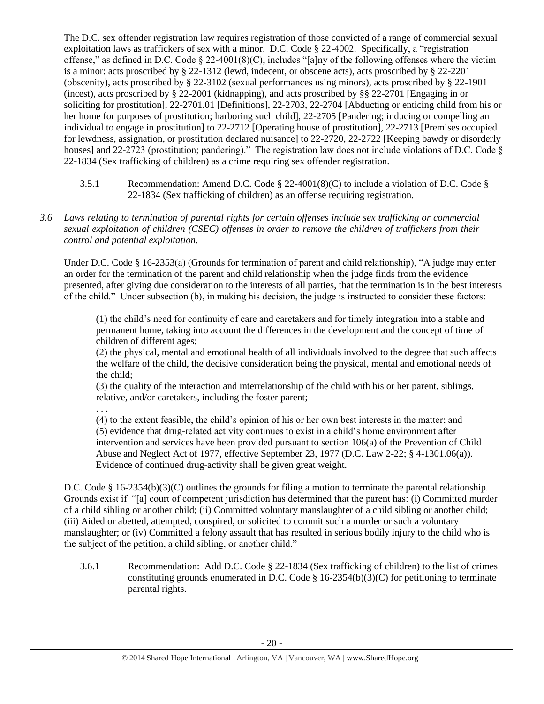The D.C. sex offender registration law requires registration of those convicted of a range of commercial sexual exploitation laws as traffickers of sex with a minor. D.C. Code § 22-4002. Specifically, a "registration offense," as defined in D.C. Code  $\S 22-4001(8)(C)$ , includes "[a]ny of the following offenses where the victim is a minor: acts proscribed by § 22-1312 (lewd, indecent, or obscene acts), acts proscribed by § 22-2201 (obscenity), acts proscribed by § 22-3102 (sexual performances using minors), acts proscribed by § 22-1901 (incest), acts proscribed by § 22-2001 (kidnapping), and acts proscribed by §§ 22-2701 [Engaging in or soliciting for prostitution], 22-2701.01 [Definitions], 22-2703, 22-2704 [Abducting or enticing child from his or her home for purposes of prostitution; harboring such child], 22-2705 [Pandering; inducing or compelling an individual to engage in prostitution] to 22-2712 [Operating house of prostitution], 22-2713 [Premises occupied for lewdness, assignation, or prostitution declared nuisance] to 22-2720, 22-2722 [Keeping bawdy or disorderly houses] and 22-2723 (prostitution; pandering)." The registration law does not include violations of D.C. Code § 22-1834 (Sex trafficking of children) as a crime requiring sex offender registration.

- 3.5.1 Recommendation: Amend D.C. Code § 22-4001(8)(C) to include a violation of D.C. Code § 22-1834 (Sex trafficking of children) as an offense requiring registration.
- *3.6 Laws relating to termination of parental rights for certain offenses include sex trafficking or commercial sexual exploitation of children (CSEC) offenses in order to remove the children of traffickers from their control and potential exploitation.*

Under D.C. Code § 16-2353(a) (Grounds for termination of parent and child relationship), "A judge may enter an order for the termination of the parent and child relationship when the judge finds from the evidence presented, after giving due consideration to the interests of all parties, that the termination is in the best interests of the child." Under subsection (b), in making his decision, the judge is instructed to consider these factors:

(1) the child's need for continuity of care and caretakers and for timely integration into a stable and permanent home, taking into account the differences in the development and the concept of time of children of different ages;

(2) the physical, mental and emotional health of all individuals involved to the degree that such affects the welfare of the child, the decisive consideration being the physical, mental and emotional needs of the child;

(3) the quality of the interaction and interrelationship of the child with his or her parent, siblings, relative, and/or caretakers, including the foster parent;

. . .

(4) to the extent feasible, the child's opinion of his or her own best interests in the matter; and (5) evidence that drug-related activity continues to exist in a child's home environment after intervention and services have been provided pursuant to section 106(a) of the Prevention of Child Abuse and Neglect Act of 1977, effective September 23, 1977 (D.C. Law 2-22; § 4-1301.06(a)). Evidence of continued drug-activity shall be given great weight.

D.C. Code § 16-2354(b)(3)(C) outlines the grounds for filing a motion to terminate the parental relationship. Grounds exist if "[a] court of competent jurisdiction has determined that the parent has: (i) Committed murder of a child sibling or another child; (ii) Committed voluntary manslaughter of a child sibling or another child; (iii) Aided or abetted, attempted, conspired, or solicited to commit such a murder or such a voluntary manslaughter; or (iv) Committed a felony assault that has resulted in serious bodily injury to the child who is the subject of the petition, a child sibling, or another child."

3.6.1 Recommendation: Add D.C. Code § 22-1834 (Sex trafficking of children) to the list of crimes constituting grounds enumerated in D.C. Code  $\S$  16-2354(b)(3)(C) for petitioning to terminate parental rights.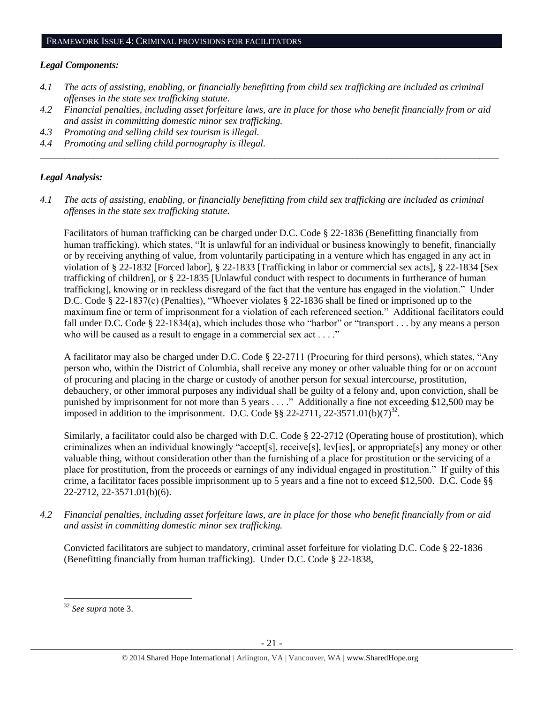#### *Legal Components:*

- *4.1 The acts of assisting, enabling, or financially benefitting from child sex trafficking are included as criminal offenses in the state sex trafficking statute.*
- *4.2 Financial penalties, including asset forfeiture laws, are in place for those who benefit financially from or aid and assist in committing domestic minor sex trafficking.*
- *4.3 Promoting and selling child sex tourism is illegal.*
- *4.4 Promoting and selling child pornography is illegal. \_\_\_\_\_\_\_\_\_\_\_\_\_\_\_\_\_\_\_\_\_\_\_\_\_\_\_\_\_\_\_\_\_\_\_\_\_\_\_\_\_\_\_\_\_\_\_\_\_\_\_\_\_\_\_\_\_\_\_\_\_\_\_\_\_\_\_\_\_\_\_\_\_\_\_\_\_\_\_\_\_\_\_\_\_\_\_\_\_\_\_\_\_\_*

# *Legal Analysis:*

*4.1 The acts of assisting, enabling, or financially benefitting from child sex trafficking are included as criminal offenses in the state sex trafficking statute.*

Facilitators of human trafficking can be charged under D.C. Code § 22-1836 (Benefitting financially from human trafficking), which states, "It is unlawful for an individual or business knowingly to benefit, financially or by receiving anything of value, from voluntarily participating in a venture which has engaged in any act in violation of § 22-1832 [Forced labor], § 22-1833 [Trafficking in labor or commercial sex acts], § 22-1834 [Sex trafficking of children], or § 22-1835 [Unlawful conduct with respect to documents in furtherance of human trafficking], knowing or in reckless disregard of the fact that the venture has engaged in the violation." Under D.C. Code § 22-1837(c) (Penalties), "Whoever violates § 22-1836 shall be fined or imprisoned up to the maximum fine or term of imprisonment for a violation of each referenced section." Additional facilitators could fall under D.C. Code § 22-1834(a), which includes those who "harbor" or "transport . . . by any means a person who will be caused as a result to engage in a commercial sex act . . . ."

A facilitator may also be charged under D.C. Code § 22-2711 (Procuring for third persons), which states, "Any person who, within the District of Columbia, shall receive any money or other valuable thing for or on account of procuring and placing in the charge or custody of another person for sexual intercourse, prostitution, debauchery, or other immoral purposes any individual shall be guilty of a felony and, upon conviction, shall be punished by imprisonment for not more than 5 years . . . ." Additionally a fine not exceeding \$12,500 may be imposed in addition to the imprisonment. D.C. Code §§ 22-2711, 22-3571.01(b)(7)<sup>32</sup>.

Similarly, a facilitator could also be charged with D.C. Code § 22-2712 (Operating house of prostitution), which criminalizes when an individual knowingly "accept[s], receive[s], lev[ies], or appropriate[s] any money or other valuable thing, without consideration other than the furnishing of a place for prostitution or the servicing of a place for prostitution, from the proceeds or earnings of any individual engaged in prostitution." If guilty of this crime, a facilitator faces possible imprisonment up to 5 years and a fine not to exceed \$12,500. D.C. Code §§ 22-2712, 22-3571.01(b)(6).

*4.2 Financial penalties, including asset forfeiture laws, are in place for those who benefit financially from or aid and assist in committing domestic minor sex trafficking.*

Convicted facilitators are subject to mandatory, criminal asset forfeiture for violating D.C. Code § 22-1836 (Benefitting financially from human trafficking). Under D.C. Code § 22-1838,

 $\overline{\phantom{a}}$ <sup>32</sup> *See supra* note [3.](#page-1-0)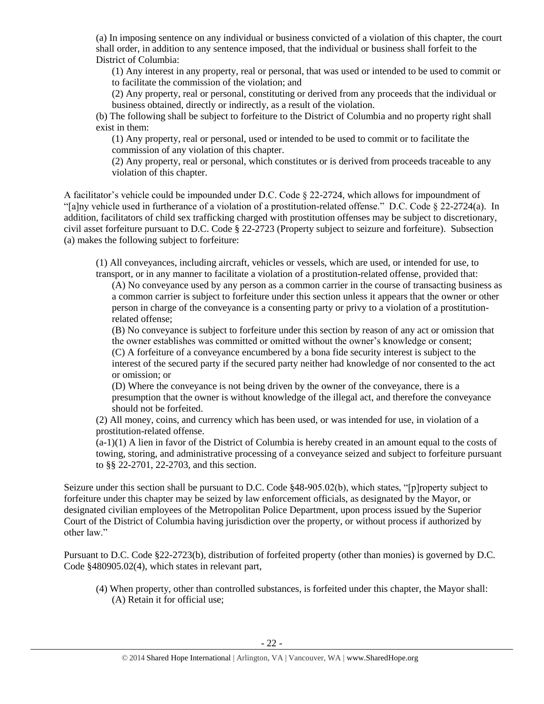(a) In imposing sentence on any individual or business convicted of a violation of this chapter, the court shall order, in addition to any sentence imposed, that the individual or business shall forfeit to the District of Columbia:

(1) Any interest in any property, real or personal, that was used or intended to be used to commit or to facilitate the commission of the violation; and

(2) Any property, real or personal, constituting or derived from any proceeds that the individual or business obtained, directly or indirectly, as a result of the violation.

(b) The following shall be subject to forfeiture to the District of Columbia and no property right shall exist in them:

(1) Any property, real or personal, used or intended to be used to commit or to facilitate the commission of any violation of this chapter.

(2) Any property, real or personal, which constitutes or is derived from proceeds traceable to any violation of this chapter.

A facilitator's vehicle could be impounded under D.C. Code § 22-2724, which allows for impoundment of "[a]ny vehicle used in furtherance of a violation of a prostitution-related offense." D.C. Code § 22-2724(a). In addition, facilitators of child sex trafficking charged with prostitution offenses may be subject to discretionary, civil asset forfeiture pursuant to D.C. Code § 22-2723 (Property subject to seizure and forfeiture). Subsection (a) makes the following subject to forfeiture:

(1) All conveyances, including aircraft, vehicles or vessels, which are used, or intended for use, to transport, or in any manner to facilitate a violation of a prostitution-related offense, provided that:

(A) No conveyance used by any person as a common carrier in the course of transacting business as a common carrier is subject to forfeiture under this section unless it appears that the owner or other person in charge of the conveyance is a consenting party or privy to a violation of a prostitutionrelated offense;

(B) No conveyance is subject to forfeiture under this section by reason of any act or omission that the owner establishes was committed or omitted without the owner's knowledge or consent; (C) A forfeiture of a conveyance encumbered by a bona fide security interest is subject to the interest of the secured party if the secured party neither had knowledge of nor consented to the act

or omission; or

(D) Where the conveyance is not being driven by the owner of the conveyance, there is a presumption that the owner is without knowledge of the illegal act, and therefore the conveyance should not be forfeited.

(2) All money, coins, and currency which has been used, or was intended for use, in violation of a prostitution-related offense.

 $(a-1)(1)$  A lien in favor of the District of Columbia is hereby created in an amount equal to the costs of towing, storing, and administrative processing of a conveyance seized and subject to forfeiture pursuant to §§ 22-2701, 22-2703, and this section.

Seizure under this section shall be pursuant to D.C. Code §48-905.02(b), which states, "[p]roperty subject to forfeiture under this chapter may be seized by law enforcement officials, as designated by the Mayor, or designated civilian employees of the Metropolitan Police Department, upon process issued by the Superior Court of the District of Columbia having jurisdiction over the property, or without process if authorized by other law."

Pursuant to D.C. Code §22-2723(b), distribution of forfeited property (other than monies) is governed by D.C. Code §480905.02(4), which states in relevant part,

(4) When property, other than controlled substances, is forfeited under this chapter, the Mayor shall: (A) Retain it for official use;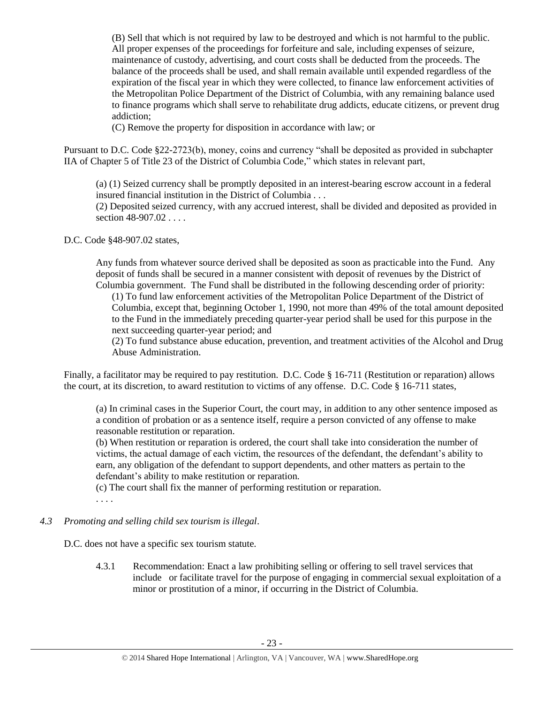(B) Sell that which is not required by law to be destroyed and which is not harmful to the public. All proper expenses of the proceedings for forfeiture and sale, including expenses of seizure, maintenance of custody, advertising, and court costs shall be deducted from the proceeds. The balance of the proceeds shall be used, and shall remain available until expended regardless of the expiration of the fiscal year in which they were collected, to finance law enforcement activities of the Metropolitan Police Department of the District of Columbia, with any remaining balance used to finance programs which shall serve to rehabilitate drug addicts, educate citizens, or prevent drug addiction;

(C) Remove the property for disposition in accordance with law; or

Pursuant to D.C. Code §22-2723(b), money, coins and currency "shall be deposited as provided in subchapter IIA of Chapter 5 of Title 23 of the District of Columbia Code," which states in relevant part,

(a) (1) Seized currency shall be promptly deposited in an interest-bearing escrow account in a federal insured financial institution in the District of Columbia . . .

(2) Deposited seized currency, with any accrued interest, shall be divided and deposited as provided in section 48-907.02...

D.C. Code §48-907.02 states,

Any funds from whatever source derived shall be deposited as soon as practicable into the Fund. Any deposit of funds shall be secured in a manner consistent with deposit of revenues by the District of Columbia government. The Fund shall be distributed in the following descending order of priority:

(1) To fund law enforcement activities of the Metropolitan Police Department of the District of Columbia, except that, beginning October 1, 1990, not more than 49% of the total amount deposited to the Fund in the immediately preceding quarter-year period shall be used for this purpose in the next succeeding quarter-year period; and

(2) To fund substance abuse education, prevention, and treatment activities of the Alcohol and Drug Abuse Administration.

Finally, a facilitator may be required to pay restitution. D.C. Code § 16-711 (Restitution or reparation) allows the court, at its discretion, to award restitution to victims of any offense. D.C. Code § 16-711 states,

(a) In criminal cases in the Superior Court, the court may, in addition to any other sentence imposed as a condition of probation or as a sentence itself, require a person convicted of any offense to make reasonable restitution or reparation.

(b) When restitution or reparation is ordered, the court shall take into consideration the number of victims, the actual damage of each victim, the resources of the defendant, the defendant's ability to earn, any obligation of the defendant to support dependents, and other matters as pertain to the defendant's ability to make restitution or reparation.

(c) The court shall fix the manner of performing restitution or reparation.

. . . .

*4.3 Promoting and selling child sex tourism is illegal*.

D.C. does not have a specific sex tourism statute.

4.3.1 Recommendation: Enact a law prohibiting selling or offering to sell travel services that include or facilitate travel for the purpose of engaging in commercial sexual exploitation of a minor or prostitution of a minor, if occurring in the District of Columbia.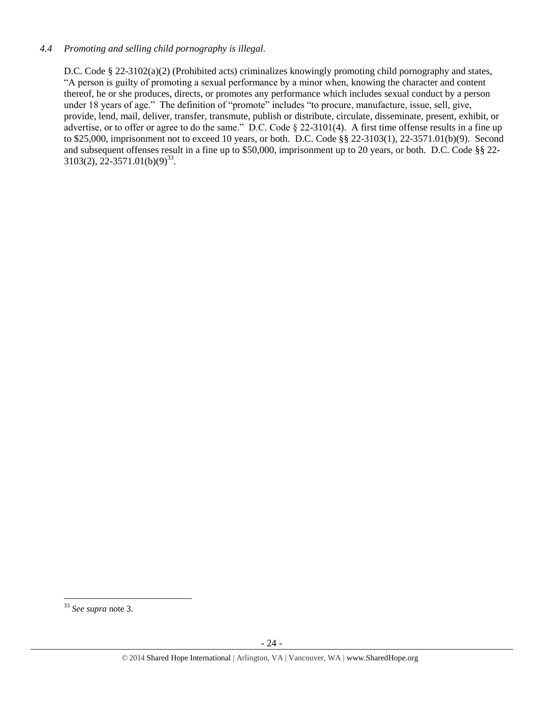#### *4.4 Promoting and selling child pornography is illegal.*

D.C. Code § 22-3102(a)(2) (Prohibited acts) criminalizes knowingly promoting child pornography and states, "A person is guilty of promoting a sexual performance by a minor when, knowing the character and content thereof, he or she produces, directs, or promotes any performance which includes sexual conduct by a person under 18 years of age." The definition of "promote" includes "to procure, manufacture, issue, sell, give, provide, lend, mail, deliver, transfer, transmute, publish or distribute, circulate, disseminate, present, exhibit, or advertise, or to offer or agree to do the same." D.C. Code § 22-3101(4). A first time offense results in a fine up to \$25,000, imprisonment not to exceed 10 years, or both. D.C. Code §§ 22-3103(1), 22-3571.01(b)(9). Second and subsequent offenses result in a fine up to \$50,000, imprisonment up to 20 years, or both. D.C. Code §§ 22-  $3103(2), 22-3571.01(b)(9)^{33}.$ 

 $\overline{\phantom{a}}$ <sup>33</sup> *See supra* note [3.](#page-1-0)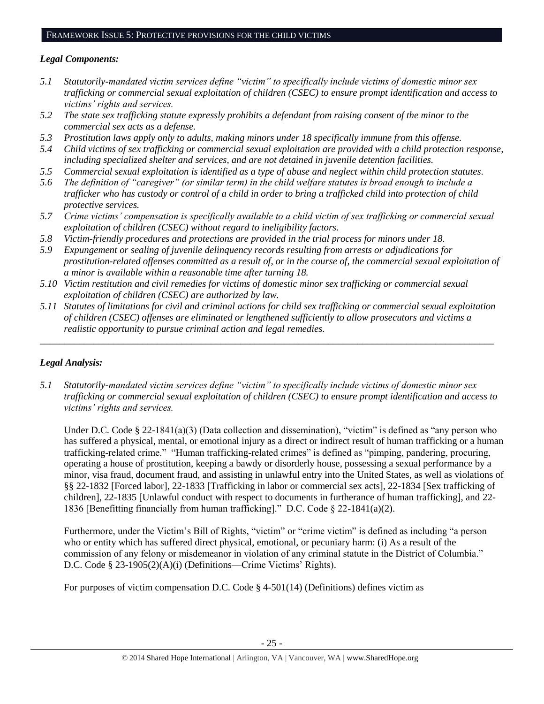#### FRAMEWORK ISSUE 5: PROTECTIVE PROVISIONS FOR THE CHILD VICTIMS

#### *Legal Components:*

- *5.1 Statutorily-mandated victim services define "victim" to specifically include victims of domestic minor sex trafficking or commercial sexual exploitation of children (CSEC) to ensure prompt identification and access to victims' rights and services.*
- *5.2 The state sex trafficking statute expressly prohibits a defendant from raising consent of the minor to the commercial sex acts as a defense.*
- *5.3 Prostitution laws apply only to adults, making minors under 18 specifically immune from this offense.*
- *5.4 Child victims of sex trafficking or commercial sexual exploitation are provided with a child protection response, including specialized shelter and services, and are not detained in juvenile detention facilities.*
- *5.5 Commercial sexual exploitation is identified as a type of abuse and neglect within child protection statutes.*
- *5.6 The definition of "caregiver" (or similar term) in the child welfare statutes is broad enough to include a trafficker who has custody or control of a child in order to bring a trafficked child into protection of child protective services.*
- *5.7 Crime victims' compensation is specifically available to a child victim of sex trafficking or commercial sexual exploitation of children (CSEC) without regard to ineligibility factors.*
- *5.8 Victim-friendly procedures and protections are provided in the trial process for minors under 18.*
- *5.9 Expungement or sealing of juvenile delinquency records resulting from arrests or adjudications for prostitution-related offenses committed as a result of, or in the course of, the commercial sexual exploitation of a minor is available within a reasonable time after turning 18.*
- *5.10 Victim restitution and civil remedies for victims of domestic minor sex trafficking or commercial sexual exploitation of children (CSEC) are authorized by law.*
- *5.11 Statutes of limitations for civil and criminal actions for child sex trafficking or commercial sexual exploitation of children (CSEC) offenses are eliminated or lengthened sufficiently to allow prosecutors and victims a realistic opportunity to pursue criminal action and legal remedies.*

*\_\_\_\_\_\_\_\_\_\_\_\_\_\_\_\_\_\_\_\_\_\_\_\_\_\_\_\_\_\_\_\_\_\_\_\_\_\_\_\_\_\_\_\_\_\_\_\_\_\_\_\_\_\_\_\_\_\_\_\_\_\_\_\_\_\_\_\_\_\_\_\_\_\_\_\_\_\_\_\_\_\_\_\_\_\_\_\_\_\_\_\_\_*

# *Legal Analysis:*

*5.1 Statutorily-mandated victim services define "victim" to specifically include victims of domestic minor sex trafficking or commercial sexual exploitation of children (CSEC) to ensure prompt identification and access to victims' rights and services.* 

Under D.C. Code § 22-1841(a)(3) (Data collection and dissemination), "victim" is defined as "any person who has suffered a physical, mental, or emotional injury as a direct or indirect result of human trafficking or a human trafficking-related crime." "Human trafficking-related crimes" is defined as "pimping, pandering, procuring, operating a house of prostitution, keeping a bawdy or disorderly house, possessing a sexual performance by a minor, visa fraud, document fraud, and assisting in unlawful entry into the United States, as well as violations of §§ 22-1832 [Forced labor], 22-1833 [Trafficking in labor or commercial sex acts], 22-1834 [Sex trafficking of children], 22-1835 [Unlawful conduct with respect to documents in furtherance of human trafficking], and 22- 1836 [Benefitting financially from human trafficking]." D.C. Code § 22-1841(a)(2).

Furthermore, under the Victim's Bill of Rights, "victim" or "crime victim" is defined as including "a person who or entity which has suffered direct physical, emotional, or pecuniary harm: (i) As a result of the commission of any felony or misdemeanor in violation of any criminal statute in the District of Columbia." D.C. Code § 23-1905(2)(A)(i) (Definitions—Crime Victims' Rights).

For purposes of victim compensation D.C. Code  $\S$  4-501(14) (Definitions) defines victim as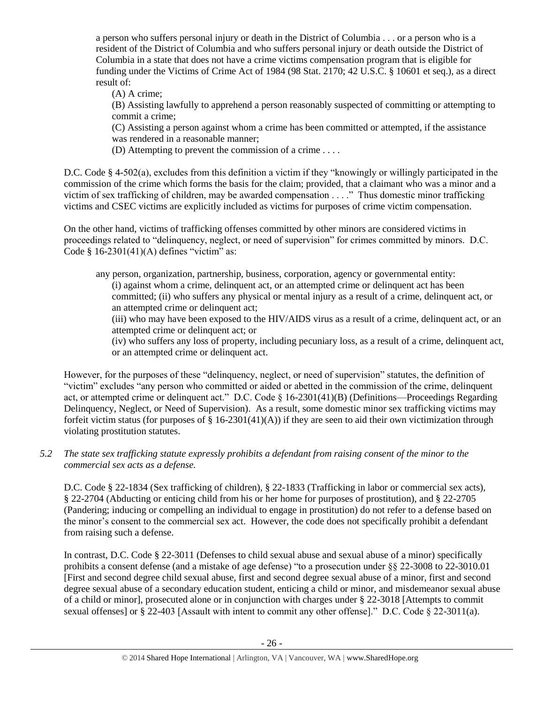a person who suffers personal injury or death in the District of Columbia . . . or a person who is a resident of the District of Columbia and who suffers personal injury or death outside the District of Columbia in a state that does not have a crime victims compensation program that is eligible for funding under the Victims of Crime Act of 1984 (98 Stat. 2170; 42 U.S.C. § 10601 et seq.), as a direct result of:

(A) A crime;

(B) Assisting lawfully to apprehend a person reasonably suspected of committing or attempting to commit a crime;

(C) Assisting a person against whom a crime has been committed or attempted, if the assistance was rendered in a reasonable manner;

(D) Attempting to prevent the commission of a crime . . . .

D.C. Code § 4-502(a), excludes from this definition a victim if they "knowingly or willingly participated in the commission of the crime which forms the basis for the claim; provided, that a claimant who was a minor and a victim of sex trafficking of children, may be awarded compensation . . . ." Thus domestic minor trafficking victims and CSEC victims are explicitly included as victims for purposes of crime victim compensation.

On the other hand, victims of trafficking offenses committed by other minors are considered victims in proceedings related to "delinquency, neglect, or need of supervision" for crimes committed by minors. D.C. Code  $§$  16-2301(41)(A) defines "victim" as:

any person, organization, partnership, business, corporation, agency or governmental entity: (i) against whom a crime, delinquent act, or an attempted crime or delinquent act has been committed; (ii) who suffers any physical or mental injury as a result of a crime, delinquent act, or an attempted crime or delinquent act;

(iii) who may have been exposed to the HIV/AIDS virus as a result of a crime, delinquent act, or an attempted crime or delinquent act; or

(iv) who suffers any loss of property, including pecuniary loss, as a result of a crime, delinquent act, or an attempted crime or delinquent act.

However, for the purposes of these "delinquency, neglect, or need of supervision" statutes, the definition of "victim" excludes "any person who committed or aided or abetted in the commission of the crime, delinquent act, or attempted crime or delinquent act." D.C. Code § 16-2301(41)(B) (Definitions—Proceedings Regarding Delinquency, Neglect, or Need of Supervision). As a result, some domestic minor sex trafficking victims may forfeit victim status (for purposes of § 16-2301(41)(A)) if they are seen to aid their own victimization through violating prostitution statutes.

# *5.2 The state sex trafficking statute expressly prohibits a defendant from raising consent of the minor to the commercial sex acts as a defense.*

D.C. Code § 22-1834 (Sex trafficking of children), § 22-1833 (Trafficking in labor or commercial sex acts), § 22-2704 (Abducting or enticing child from his or her home for purposes of prostitution), and § 22-2705 (Pandering; inducing or compelling an individual to engage in prostitution) do not refer to a defense based on the minor's consent to the commercial sex act. However, the code does not specifically prohibit a defendant from raising such a defense.

In contrast, D.C. Code § 22-3011 (Defenses to child sexual abuse and sexual abuse of a minor) specifically prohibits a consent defense (and a mistake of age defense) "to a prosecution under §§ 22-3008 to 22-3010.01 [First and second degree child sexual abuse, first and second degree sexual abuse of a minor, first and second degree sexual abuse of a secondary education student, enticing a child or minor, and misdemeanor sexual abuse of a child or minor], prosecuted alone or in conjunction with charges under § 22-3018 [Attempts to commit sexual offenses] or § 22-403 [Assault with intent to commit any other offense]." D.C. Code § 22-3011(a).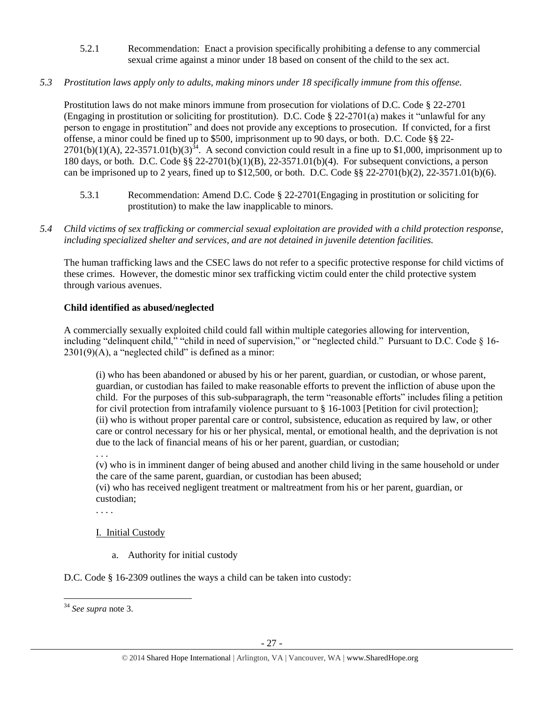- 5.2.1 Recommendation: Enact a provision specifically prohibiting a defense to any commercial sexual crime against a minor under 18 based on consent of the child to the sex act.
- *5.3 Prostitution laws apply only to adults, making minors under 18 specifically immune from this offense.*

Prostitution laws do not make minors immune from prosecution for violations of D.C. Code § 22-2701 (Engaging in prostitution or soliciting for prostitution). D.C. Code  $\S$  22-2701(a) makes it "unlawful for any person to engage in prostitution" and does not provide any exceptions to prosecution. If convicted, for a first offense, a minor could be fined up to \$500, imprisonment up to 90 days, or both. D.C. Code §§ 22-  $2701(b)(1)(A)$ ,  $22-3571.01(b)(3)^{34}$ . A second conviction could result in a fine up to \$1,000, imprisonment up to 180 days, or both. D.C. Code §§ 22-2701(b)(1)(B), 22-3571.01(b)(4). For subsequent convictions, a person can be imprisoned up to 2 years, fined up to \$12,500, or both. D.C. Code  $\S$  22-2701(b)(2), 22-3571.01(b)(6).

- 5.3.1 Recommendation: Amend D.C. Code § 22-2701(Engaging in prostitution or soliciting for prostitution) to make the law inapplicable to minors.
- *5.4 Child victims of sex trafficking or commercial sexual exploitation are provided with a child protection response, including specialized shelter and services, and are not detained in juvenile detention facilities.*

The human trafficking laws and the CSEC laws do not refer to a specific protective response for child victims of these crimes. However, the domestic minor sex trafficking victim could enter the child protective system through various avenues.

# **Child identified as abused/neglected**

A commercially sexually exploited child could fall within multiple categories allowing for intervention, including "delinquent child," "child in need of supervision," or "neglected child." Pursuant to D.C. Code § 16-  $2301(9)$ (A), a "neglected child" is defined as a minor:

(i) who has been abandoned or abused by his or her parent, guardian, or custodian, or whose parent, guardian, or custodian has failed to make reasonable efforts to prevent the infliction of abuse upon the child. For the purposes of this sub-subparagraph, the term "reasonable efforts" includes filing a petition for civil protection from intrafamily violence pursuant to § 16-1003 [Petition for civil protection]; (ii) who is without proper parental care or control, subsistence, education as required by law, or other care or control necessary for his or her physical, mental, or emotional health, and the deprivation is not due to the lack of financial means of his or her parent, guardian, or custodian;

. . .

. . . .

(v) who is in imminent danger of being abused and another child living in the same household or under the care of the same parent, guardian, or custodian has been abused;

(vi) who has received negligent treatment or maltreatment from his or her parent, guardian, or custodian;

# I. Initial Custody

a. Authority for initial custody

D.C. Code § 16-2309 outlines the ways a child can be taken into custody:

 $\overline{\phantom{a}}$ <sup>34</sup> *See supra* note [3.](#page-1-0)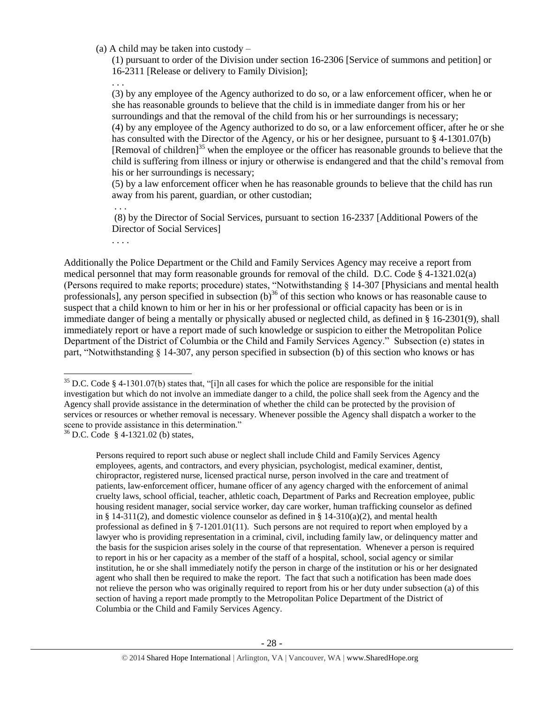(a) A child may be taken into custody –

(1) pursuant to order of the Division under section 16-2306 [Service of summons and petition] or 16-2311 [Release or delivery to Family Division];

. . .

(3) by any employee of the Agency authorized to do so, or a law enforcement officer, when he or she has reasonable grounds to believe that the child is in immediate danger from his or her surroundings and that the removal of the child from his or her surroundings is necessary; (4) by any employee of the Agency authorized to do so, or a law enforcement officer, after he or she has consulted with the Director of the Agency, or his or her designee, pursuant to § 4-1301.07(b) [Removal of children]<sup>35</sup> when the employee or the officer has reasonable grounds to believe that the child is suffering from illness or injury or otherwise is endangered and that the child's removal from his or her surroundings is necessary;

(5) by a law enforcement officer when he has reasonable grounds to believe that the child has run away from his parent, guardian, or other custodian;

. . .

(8) by the Director of Social Services, pursuant to section 16-2337 [Additional Powers of the Director of Social Services]

. . . .

Additionally the Police Department or the Child and Family Services Agency may receive a report from medical personnel that may form reasonable grounds for removal of the child. D.C. Code § 4-1321.02(a) (Persons required to make reports; procedure) states, "Notwithstanding § 14-307 [Physicians and mental health professionals], any person specified in subsection  $(b)^{36}$  of this section who knows or has reasonable cause to suspect that a child known to him or her in his or her professional or official capacity has been or is in immediate danger of being a mentally or physically abused or neglected child, as defined in § 16-2301(9), shall immediately report or have a report made of such knowledge or suspicion to either the Metropolitan Police Department of the District of Columbia or the Child and Family Services Agency." Subsection (e) states in part, "Notwithstanding § 14-307, any person specified in subsection (b) of this section who knows or has

 $36$  D.C. Code § 4-1321.02 (b) states,

 $\overline{a}$ 

Persons required to report such abuse or neglect shall include Child and Family Services Agency employees, agents, and contractors, and every physician, psychologist, medical examiner, dentist, chiropractor, registered nurse, licensed practical nurse, person involved in the care and treatment of patients, law-enforcement officer, humane officer of any agency charged with the enforcement of animal cruelty laws, school official, teacher, athletic coach, Department of Parks and Recreation employee, public housing resident manager, social service worker, day care worker, human trafficking counselor as defined in § 14-311(2), and domestic violence counselor as defined in § 14-310(a)(2), and mental health professional as defined in § 7-1201.01(11). Such persons are not required to report when employed by a lawyer who is providing representation in a criminal, civil, including family law, or delinquency matter and the basis for the suspicion arises solely in the course of that representation. Whenever a person is required to report in his or her capacity as a member of the staff of a hospital, school, social agency or similar institution, he or she shall immediately notify the person in charge of the institution or his or her designated agent who shall then be required to make the report. The fact that such a notification has been made does not relieve the person who was originally required to report from his or her duty under subsection (a) of this section of having a report made promptly to the Metropolitan Police Department of the District of Columbia or the Child and Family Services Agency.

 $35$  D.C. Code § 4-1301.07(b) states that, "[i]n all cases for which the police are responsible for the initial investigation but which do not involve an immediate danger to a child, the police shall seek from the Agency and the Agency shall provide assistance in the determination of whether the child can be protected by the provision of services or resources or whether removal is necessary. Whenever possible the Agency shall dispatch a worker to the scene to provide assistance in this determination."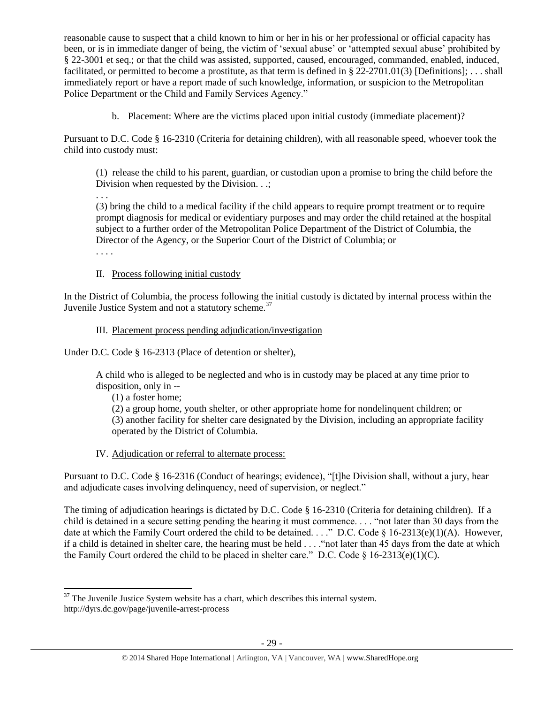reasonable cause to suspect that a child known to him or her in his or her professional or official capacity has been, or is in immediate danger of being, the victim of 'sexual abuse' or 'attempted sexual abuse' prohibited by § 22-3001 et seq.; or that the child was assisted, supported, caused, encouraged, commanded, enabled, induced, facilitated, or permitted to become a prostitute, as that term is defined in § 22-2701.01(3) [Definitions]; . . . shall immediately report or have a report made of such knowledge, information, or suspicion to the Metropolitan Police Department or the Child and Family Services Agency."

b. Placement: Where are the victims placed upon initial custody (immediate placement)?

Pursuant to D.C. Code § 16-2310 (Criteria for detaining children), with all reasonable speed, whoever took the child into custody must:

(1) release the child to his parent, guardian, or custodian upon a promise to bring the child before the Division when requested by the Division. . .;

(3) bring the child to a medical facility if the child appears to require prompt treatment or to require prompt diagnosis for medical or evidentiary purposes and may order the child retained at the hospital subject to a further order of the Metropolitan Police Department of the District of Columbia, the Director of the Agency, or the Superior Court of the District of Columbia; or

. . . .

. . .

# II. Process following initial custody

In the District of Columbia, the process following the initial custody is dictated by internal process within the Juvenile Justice System and not a statutory scheme.<sup>37</sup>

# III. Placement process pending adjudication/investigation

Under D.C. Code § 16-2313 (Place of detention or shelter),

A child who is alleged to be neglected and who is in custody may be placed at any time prior to disposition, only in --

(1) a foster home;

(2) a group home, youth shelter, or other appropriate home for nondelinquent children; or (3) another facility for shelter care designated by the Division, including an appropriate facility operated by the District of Columbia.

# IV. Adjudication or referral to alternate process:

Pursuant to D.C. Code § 16-2316 (Conduct of hearings; evidence), "[t]he Division shall, without a jury, hear and adjudicate cases involving delinquency, need of supervision, or neglect."

The timing of adjudication hearings is dictated by D.C. Code § 16-2310 (Criteria for detaining children). If a child is detained in a secure setting pending the hearing it must commence. . . . "not later than 30 days from the date at which the Family Court ordered the child to be detained. . . ." D.C. Code § 16-2313(e)(1)(A). However, if a child is detained in shelter care, the hearing must be held . . . ."not later than 45 days from the date at which the Family Court ordered the child to be placed in shelter care." D.C. Code  $\S$  16-2313(e)(1)(C).

 $\overline{a}$  $37$  The Juvenile Justice System website has a chart, which describes this internal system. http://dyrs.dc.gov/page/juvenile-arrest-process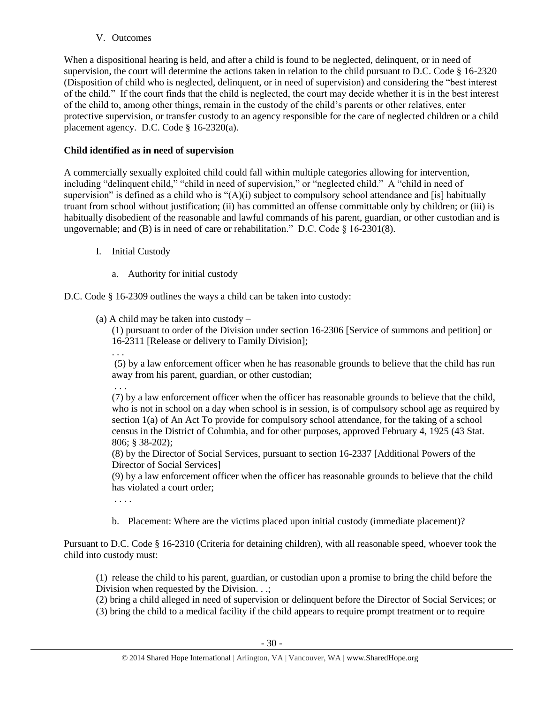# V. Outcomes

When a dispositional hearing is held, and after a child is found to be neglected, delinquent, or in need of supervision, the court will determine the actions taken in relation to the child pursuant to D.C. Code § 16-2320 (Disposition of child who is neglected, delinquent, or in need of supervision) and considering the "best interest of the child." If the court finds that the child is neglected, the court may decide whether it is in the best interest of the child to, among other things, remain in the custody of the child's parents or other relatives, enter protective supervision, or transfer custody to an agency responsible for the care of neglected children or a child placement agency. D.C. Code § 16-2320(a).

# **Child identified as in need of supervision**

A commercially sexually exploited child could fall within multiple categories allowing for intervention, including "delinquent child," "child in need of supervision," or "neglected child." A "child in need of supervision" is defined as a child who is "(A)(i) subject to compulsory school attendance and [is] habitually truant from school without justification; (ii) has committed an offense committable only by children; or (iii) is habitually disobedient of the reasonable and lawful commands of his parent, guardian, or other custodian and is ungovernable; and (B) is in need of care or rehabilitation." D.C. Code  $\S$  16-2301(8).

- I. Initial Custody
	- a. Authority for initial custody

# D.C. Code § 16-2309 outlines the ways a child can be taken into custody:

(a) A child may be taken into custody –

(1) pursuant to order of the Division under section 16-2306 [Service of summons and petition] or 16-2311 [Release or delivery to Family Division];

. . .

(5) by a law enforcement officer when he has reasonable grounds to believe that the child has run away from his parent, guardian, or other custodian;

. . .

(7) by a law enforcement officer when the officer has reasonable grounds to believe that the child, who is not in school on a day when school is in session, is of compulsory school age as required by section 1(a) of An Act To provide for compulsory school attendance, for the taking of a school census in the District of Columbia, and for other purposes, approved February 4, 1925 (43 Stat. 806; § 38-202);

(8) by the Director of Social Services, pursuant to section 16-2337 [Additional Powers of the Director of Social Services]

(9) by a law enforcement officer when the officer has reasonable grounds to believe that the child has violated a court order;

- . . . .
- b. Placement: Where are the victims placed upon initial custody (immediate placement)?

Pursuant to D.C. Code § 16-2310 (Criteria for detaining children), with all reasonable speed, whoever took the child into custody must:

(1) release the child to his parent, guardian, or custodian upon a promise to bring the child before the Division when requested by the Division. . .;

(2) bring a child alleged in need of supervision or delinquent before the Director of Social Services; or

(3) bring the child to a medical facility if the child appears to require prompt treatment or to require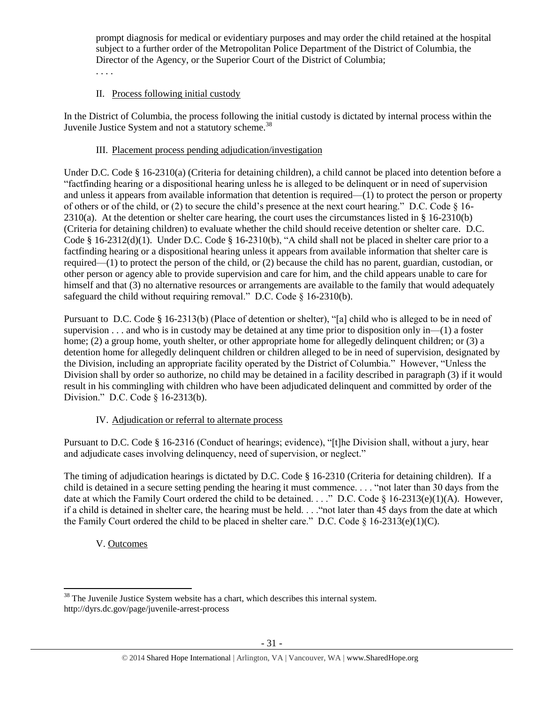prompt diagnosis for medical or evidentiary purposes and may order the child retained at the hospital subject to a further order of the Metropolitan Police Department of the District of Columbia, the Director of the Agency, or the Superior Court of the District of Columbia; . . . .

# II. Process following initial custody

In the District of Columbia, the process following the initial custody is dictated by internal process within the Juvenile Justice System and not a statutory scheme.<sup>38</sup>

#### III. Placement process pending adjudication/investigation

Under D.C. Code § 16-2310(a) (Criteria for detaining children), a child cannot be placed into detention before a "factfinding hearing or a dispositional hearing unless he is alleged to be delinquent or in need of supervision and unless it appears from available information that detention is required—(1) to protect the person or property of others or of the child, or (2) to secure the child's presence at the next court hearing." D.C. Code  $\S$  16- $2310(a)$ . At the detention or shelter care hearing, the court uses the circumstances listed in § 16-2310(b) (Criteria for detaining children) to evaluate whether the child should receive detention or shelter care. D.C. Code § 16-2312(d)(1). Under D.C. Code § 16-2310(b), "A child shall not be placed in shelter care prior to a factfinding hearing or a dispositional hearing unless it appears from available information that shelter care is required—(1) to protect the person of the child, or (2) because the child has no parent, guardian, custodian, or other person or agency able to provide supervision and care for him, and the child appears unable to care for himself and that (3) no alternative resources or arrangements are available to the family that would adequately safeguard the child without requiring removal." D.C. Code § 16-2310(b).

Pursuant to D.C. Code § 16-2313(b) (Place of detention or shelter), "[a] child who is alleged to be in need of supervision . . . and who is in custody may be detained at any time prior to disposition only in—(1) a foster home; (2) a group home, youth shelter, or other appropriate home for allegedly delinquent children; or (3) a detention home for allegedly delinquent children or children alleged to be in need of supervision, designated by the Division, including an appropriate facility operated by the District of Columbia." However, "Unless the Division shall by order so authorize, no child may be detained in a facility described in paragraph (3) if it would result in his commingling with children who have been adjudicated delinquent and committed by order of the Division." D.C. Code § 16-2313(b).

# IV. Adjudication or referral to alternate process

Pursuant to D.C. Code § 16-2316 (Conduct of hearings; evidence), "[t]he Division shall, without a jury, hear and adjudicate cases involving delinquency, need of supervision, or neglect."

The timing of adjudication hearings is dictated by D.C. Code § 16-2310 (Criteria for detaining children). If a child is detained in a secure setting pending the hearing it must commence. . . . "not later than 30 days from the date at which the Family Court ordered the child to be detained. . . ." D.C. Code § 16-2313(e)(1)(A). However, if a child is detained in shelter care, the hearing must be held. . . ."not later than 45 days from the date at which the Family Court ordered the child to be placed in shelter care." D.C. Code  $\S$  16-2313(e)(1)(C).

# V. Outcomes

 $\overline{a}$  $38$  The Juvenile Justice System website has a chart, which describes this internal system. http://dyrs.dc.gov/page/juvenile-arrest-process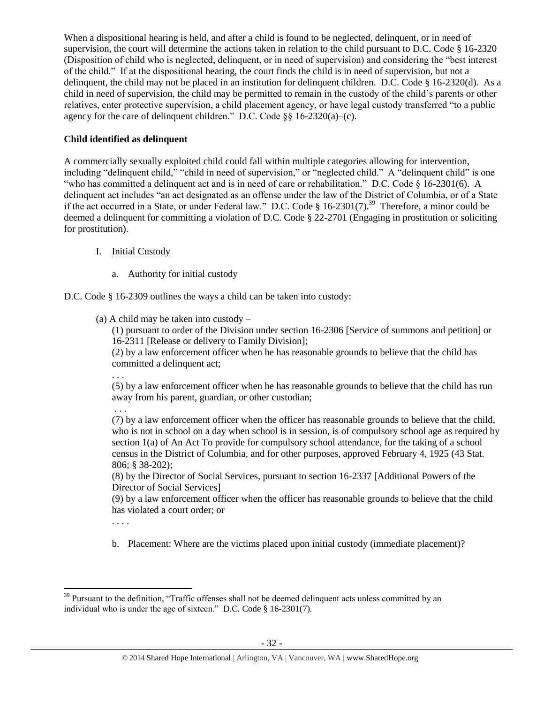When a dispositional hearing is held, and after a child is found to be neglected, delinquent, or in need of supervision, the court will determine the actions taken in relation to the child pursuant to D.C. Code § 16-2320 (Disposition of child who is neglected, delinquent, or in need of supervision) and considering the "best interest of the child." If at the dispositional hearing, the court finds the child is in need of supervision, but not a delinquent, the child may not be placed in an institution for delinquent children. D.C. Code § 16-2320(d). As a child in need of supervision, the child may be permitted to remain in the custody of the child's parents or other relatives, enter protective supervision, a child placement agency, or have legal custody transferred "to a public agency for the care of delinquent children." D.C. Code  $\S$ § 16-2320(a)–(c).

# **Child identified as delinquent**

A commercially sexually exploited child could fall within multiple categories allowing for intervention, including "delinquent child," "child in need of supervision," or "neglected child." A "delinquent child" is one "who has committed a delinquent act and is in need of care or rehabilitation." D.C. Code § 16-2301(6). A delinquent act includes "an act designated as an offense under the law of the District of Columbia, or of a State if the act occurred in a State, or under Federal law." D.C. Code § 16-2301(7).<sup>39</sup> Therefore, a minor could be deemed a delinquent for committing a violation of D.C. Code § 22-2701 (Engaging in prostitution or soliciting for prostitution).

# I. Initial Custody

- a. Authority for initial custody
- D.C. Code § 16-2309 outlines the ways a child can be taken into custody:
	- (a) A child may be taken into custody –

(1) pursuant to order of the Division under section 16-2306 [Service of summons and petition] or 16-2311 [Release or delivery to Family Division];

(2) by a law enforcement officer when he has reasonable grounds to believe that the child has committed a delinquent act;

. . .

. . .

(5) by a law enforcement officer when he has reasonable grounds to believe that the child has run away from his parent, guardian, or other custodian;

(7) by a law enforcement officer when the officer has reasonable grounds to believe that the child, who is not in school on a day when school is in session, is of compulsory school age as required by section 1(a) of An Act To provide for compulsory school attendance, for the taking of a school census in the District of Columbia, and for other purposes, approved February 4, 1925 (43 Stat. 806; § 38-202);

(8) by the Director of Social Services, pursuant to section 16-2337 [Additional Powers of the Director of Social Services]

(9) by a law enforcement officer when the officer has reasonable grounds to believe that the child has violated a court order; or

. . . .

b. Placement: Where are the victims placed upon initial custody (immediate placement)?

 $\overline{a}$ <sup>39</sup> Pursuant to the definition, "Traffic offenses shall not be deemed delinquent acts unless committed by an individual who is under the age of sixteen." D.C. Code § 16-2301(7).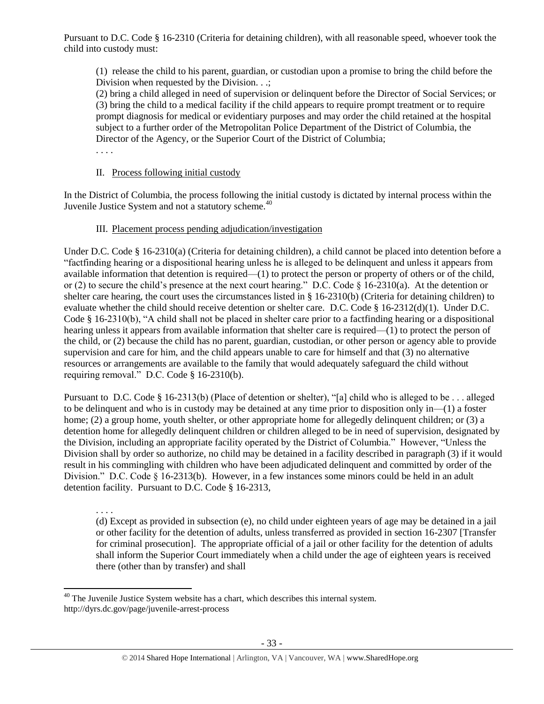Pursuant to D.C. Code § 16-2310 (Criteria for detaining children), with all reasonable speed, whoever took the child into custody must:

(1) release the child to his parent, guardian, or custodian upon a promise to bring the child before the Division when requested by the Division. . .;

(2) bring a child alleged in need of supervision or delinquent before the Director of Social Services; or (3) bring the child to a medical facility if the child appears to require prompt treatment or to require prompt diagnosis for medical or evidentiary purposes and may order the child retained at the hospital subject to a further order of the Metropolitan Police Department of the District of Columbia, the Director of the Agency, or the Superior Court of the District of Columbia;

. . . .

#### II. Process following initial custody

In the District of Columbia, the process following the initial custody is dictated by internal process within the Juvenile Justice System and not a statutory scheme.<sup>40</sup>

# III. Placement process pending adjudication/investigation

Under D.C. Code § 16-2310(a) (Criteria for detaining children), a child cannot be placed into detention before a "factfinding hearing or a dispositional hearing unless he is alleged to be delinquent and unless it appears from available information that detention is required—(1) to protect the person or property of others or of the child, or (2) to secure the child's presence at the next court hearing." D.C. Code § 16-2310(a). At the detention or shelter care hearing, the court uses the circumstances listed in  $\S$  16-2310(b) (Criteria for detaining children) to evaluate whether the child should receive detention or shelter care. D.C. Code § 16-2312(d)(1). Under D.C. Code § 16-2310(b), "A child shall not be placed in shelter care prior to a factfinding hearing or a dispositional hearing unless it appears from available information that shelter care is required—(1) to protect the person of the child, or (2) because the child has no parent, guardian, custodian, or other person or agency able to provide supervision and care for him, and the child appears unable to care for himself and that (3) no alternative resources or arrangements are available to the family that would adequately safeguard the child without requiring removal." D.C. Code § 16-2310(b).

Pursuant to D.C. Code § 16-2313(b) (Place of detention or shelter), "[a] child who is alleged to be . . . alleged to be delinquent and who is in custody may be detained at any time prior to disposition only in—(1) a foster home; (2) a group home, youth shelter, or other appropriate home for allegedly delinquent children; or (3) a detention home for allegedly delinquent children or children alleged to be in need of supervision, designated by the Division, including an appropriate facility operated by the District of Columbia." However, "Unless the Division shall by order so authorize, no child may be detained in a facility described in paragraph (3) if it would result in his commingling with children who have been adjudicated delinquent and committed by order of the Division." D.C. Code § 16-2313(b). However, in a few instances some minors could be held in an adult detention facility. Pursuant to D.C. Code § 16-2313,

. . . . (d) Except as provided in subsection (e), no child under eighteen years of age may be detained in a jail or other facility for the detention of adults, unless transferred as provided in section 16-2307 [Transfer for criminal prosecution]. The appropriate official of a jail or other facility for the detention of adults shall inform the Superior Court immediately when a child under the age of eighteen years is received there (other than by transfer) and shall

 $\overline{a}$  $40$  The Juvenile Justice System website has a chart, which describes this internal system. http://dyrs.dc.gov/page/juvenile-arrest-process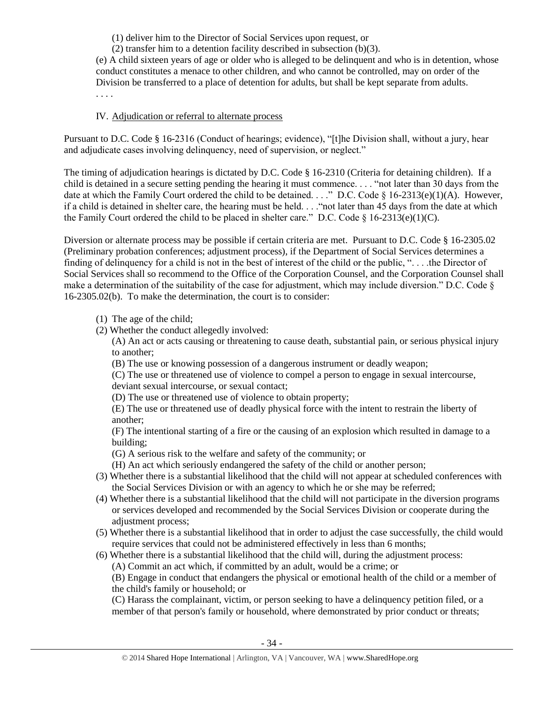(1) deliver him to the Director of Social Services upon request, or

(2) transfer him to a detention facility described in subsection (b)(3).

(e) A child sixteen years of age or older who is alleged to be delinquent and who is in detention, whose conduct constitutes a menace to other children, and who cannot be controlled, may on order of the Division be transferred to a place of detention for adults, but shall be kept separate from adults. . . . .

#### IV. Adjudication or referral to alternate process

Pursuant to D.C. Code § 16-2316 (Conduct of hearings; evidence), "[t]he Division shall, without a jury, hear and adjudicate cases involving delinquency, need of supervision, or neglect."

The timing of adjudication hearings is dictated by D.C. Code § 16-2310 (Criteria for detaining children). If a child is detained in a secure setting pending the hearing it must commence. . . . "not later than 30 days from the date at which the Family Court ordered the child to be detained. . . ." D.C. Code § 16-2313(e)(1)(A). However, if a child is detained in shelter care, the hearing must be held. . . ."not later than 45 days from the date at which the Family Court ordered the child to be placed in shelter care." D.C. Code  $\S 16-2313(e)(1)(C)$ .

Diversion or alternate process may be possible if certain criteria are met. Pursuant to D.C. Code § 16-2305.02 (Preliminary probation conferences; adjustment process), if the Department of Social Services determines a finding of delinquency for a child is not in the best of interest of the child or the public, ". . . .the Director of Social Services shall so recommend to the Office of the Corporation Counsel, and the Corporation Counsel shall make a determination of the suitability of the case for adjustment, which may include diversion." D.C. Code § 16-2305.02(b). To make the determination, the court is to consider:

- (1) The age of the child;
- (2) Whether the conduct allegedly involved:

(A) An act or acts causing or threatening to cause death, substantial pain, or serious physical injury to another;

(B) The use or knowing possession of a dangerous instrument or deadly weapon;

(C) The use or threatened use of violence to compel a person to engage in sexual intercourse, deviant sexual intercourse, or sexual contact;

(D) The use or threatened use of violence to obtain property;

(E) The use or threatened use of deadly physical force with the intent to restrain the liberty of another;

(F) The intentional starting of a fire or the causing of an explosion which resulted in damage to a building;

(G) A serious risk to the welfare and safety of the community; or

- (H) An act which seriously endangered the safety of the child or another person;
- (3) Whether there is a substantial likelihood that the child will not appear at scheduled conferences with the Social Services Division or with an agency to which he or she may be referred;
- (4) Whether there is a substantial likelihood that the child will not participate in the diversion programs or services developed and recommended by the Social Services Division or cooperate during the adjustment process;
- (5) Whether there is a substantial likelihood that in order to adjust the case successfully, the child would require services that could not be administered effectively in less than 6 months;
- (6) Whether there is a substantial likelihood that the child will, during the adjustment process:
	- (A) Commit an act which, if committed by an adult, would be a crime; or

(B) Engage in conduct that endangers the physical or emotional health of the child or a member of the child's family or household; or

(C) Harass the complainant, victim, or person seeking to have a delinquency petition filed, or a member of that person's family or household, where demonstrated by prior conduct or threats;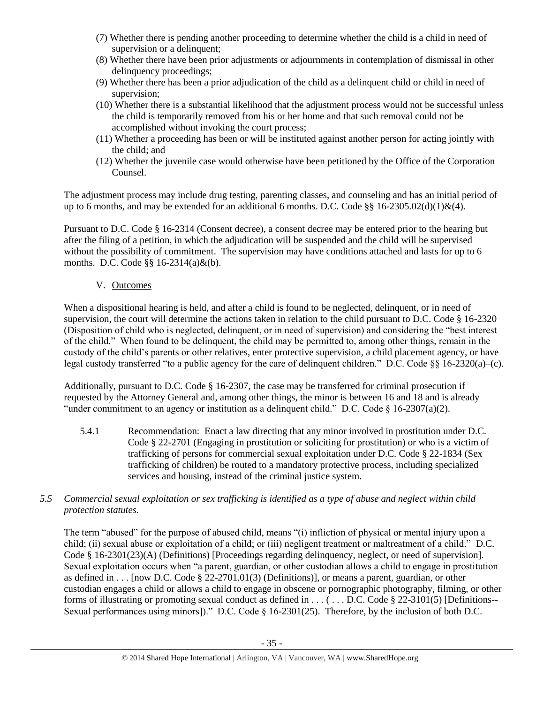- (7) Whether there is pending another proceeding to determine whether the child is a child in need of supervision or a delinquent;
- (8) Whether there have been prior adjustments or adjournments in contemplation of dismissal in other delinquency proceedings;
- (9) Whether there has been a prior adjudication of the child as a delinquent child or child in need of supervision;
- (10) Whether there is a substantial likelihood that the adjustment process would not be successful unless the child is temporarily removed from his or her home and that such removal could not be accomplished without invoking the court process;
- (11) Whether a proceeding has been or will be instituted against another person for acting jointly with the child; and
- (12) Whether the juvenile case would otherwise have been petitioned by the Office of the Corporation Counsel.

The adjustment process may include drug testing, parenting classes, and counseling and has an initial period of up to 6 months, and may be extended for an additional 6 months. D.C. Code §§ 16-2305.02(d)(1)&(4).

Pursuant to D.C. Code § 16-2314 (Consent decree), a consent decree may be entered prior to the hearing but after the filing of a petition, in which the adjudication will be suspended and the child will be supervised without the possibility of commitment. The supervision may have conditions attached and lasts for up to 6 months. D.C. Code §§ 16-2314(a)&(b).

# V. Outcomes

When a dispositional hearing is held, and after a child is found to be neglected, delinquent, or in need of supervision, the court will determine the actions taken in relation to the child pursuant to D.C. Code § 16-2320 (Disposition of child who is neglected, delinquent, or in need of supervision) and considering the "best interest of the child." When found to be delinquent, the child may be permitted to, among other things, remain in the custody of the child's parents or other relatives, enter protective supervision, a child placement agency, or have legal custody transferred "to a public agency for the care of delinquent children." D.C. Code §§ 16-2320(a)–(c).

Additionally, pursuant to D.C. Code § 16-2307, the case may be transferred for criminal prosecution if requested by the Attorney General and, among other things, the minor is between 16 and 18 and is already "under commitment to an agency or institution as a delinguent child." D.C. Code § 16-2307(a)(2).

5.4.1 Recommendation: Enact a law directing that any minor involved in prostitution under D.C. Code § 22-2701 (Engaging in prostitution or soliciting for prostitution) or who is a victim of trafficking of persons for commercial sexual exploitation under D.C. Code § 22-1834 (Sex trafficking of children) be routed to a mandatory protective process, including specialized services and housing, instead of the criminal justice system.

# *5.5 Commercial sexual exploitation or sex trafficking is identified as a type of abuse and neglect within child protection statutes.*

The term "abused" for the purpose of abused child, means "(i) infliction of physical or mental injury upon a child; (ii) sexual abuse or exploitation of a child; or (iii) negligent treatment or maltreatment of a child." D.C. Code § 16-2301(23)(A) (Definitions) [Proceedings regarding delinquency, neglect, or need of supervision]. Sexual exploitation occurs when "a parent, guardian, or other custodian allows a child to engage in prostitution as defined in  $\dots$  [now D.C. Code § 22-2701.01(3) (Definitions)], or means a parent, guardian, or other custodian engages a child or allows a child to engage in obscene or pornographic photography, filming, or other forms of illustrating or promoting sexual conduct as defined in ... (... D.C. Code § 22-3101(5) [Definitions--Sexual performances using minors])." D.C. Code § 16-2301(25). Therefore, by the inclusion of both D.C.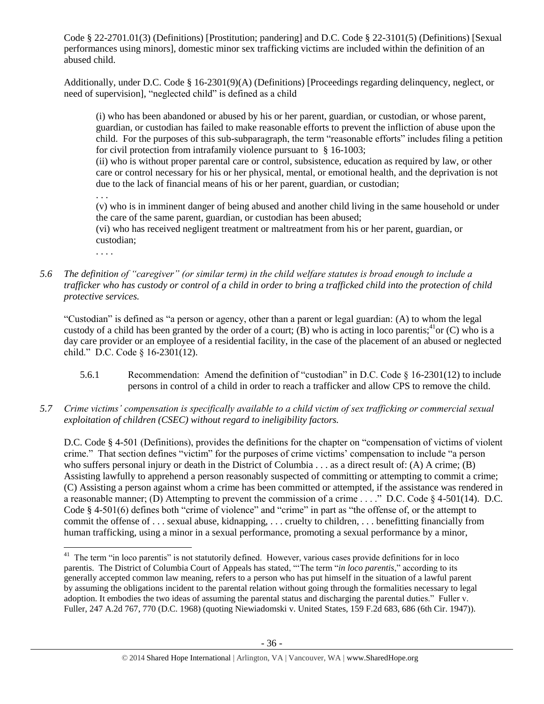Code § 22-2701.01(3) (Definitions) [Prostitution; pandering] and D.C. Code § 22-3101(5) (Definitions) [Sexual performances using minors], domestic minor sex trafficking victims are included within the definition of an abused child.

Additionally, under D.C. Code § 16-2301(9)(A) (Definitions) [Proceedings regarding delinquency, neglect, or need of supervision], "neglected child" is defined as a child

(i) who has been abandoned or abused by his or her parent, guardian, or custodian, or whose parent, guardian, or custodian has failed to make reasonable efforts to prevent the infliction of abuse upon the child. For the purposes of this sub-subparagraph, the term "reasonable efforts" includes filing a petition for civil protection from intrafamily violence pursuant to § 16-1003;

(ii) who is without proper parental care or control, subsistence, education as required by law, or other care or control necessary for his or her physical, mental, or emotional health, and the deprivation is not due to the lack of financial means of his or her parent, guardian, or custodian;

. . . (v) who is in imminent danger of being abused and another child living in the same household or under the care of the same parent, guardian, or custodian has been abused;

(vi) who has received negligent treatment or maltreatment from his or her parent, guardian, or custodian;

. . . .

*5.6 The definition of "caregiver" (or similar term) in the child welfare statutes is broad enough to include a trafficker who has custody or control of a child in order to bring a trafficked child into the protection of child protective services.*

"Custodian" is defined as "a person or agency, other than a parent or legal guardian: (A) to whom the legal custody of a child has been granted by the order of a court; (B) who is acting in loco parentis;  $^{41}$ or (C) who is a day care provider or an employee of a residential facility, in the case of the placement of an abused or neglected child." D.C. Code § 16-2301(12).

- 5.6.1 Recommendation: Amend the definition of "custodian" in D.C. Code § 16-2301(12) to include persons in control of a child in order to reach a trafficker and allow CPS to remove the child.
- *5.7 Crime victims' compensation is specifically available to a child victim of sex trafficking or commercial sexual exploitation of children (CSEC) without regard to ineligibility factors.*

D.C. Code § 4-501 (Definitions), provides the definitions for the chapter on "compensation of victims of violent crime." That section defines "victim" for the purposes of crime victims' compensation to include "a person who suffers personal injury or death in the District of Columbia . . . as a direct result of: (A) A crime; (B) Assisting lawfully to apprehend a person reasonably suspected of committing or attempting to commit a crime; (C) Assisting a person against whom a crime has been committed or attempted, if the assistance was rendered in a reasonable manner; (D) Attempting to prevent the commission of a crime . . . ." D.C. Code § 4-501(14). D.C. Code § 4-501(6) defines both "crime of violence" and "crime" in part as "the offense of, or the attempt to commit the offense of . . . sexual abuse, kidnapping, . . . cruelty to children, . . . benefitting financially from human trafficking, using a minor in a sexual performance, promoting a sexual performance by a minor,

 $\overline{\phantom{a}}$ <sup>41</sup> The term "in loco parentis" is not statutorily defined. However, various cases provide definitions for in loco parentis. The District of Columbia Court of Appeals has stated, "'The term "*in loco parentis*," according to its generally accepted common law meaning, refers to a person who has put himself in the situation of a lawful parent by assuming the obligations incident to the parental relation without going through the formalities necessary to legal adoption. It embodies the two ideas of assuming the parental status and discharging the parental duties." Fuller v. Fuller, 247 A.2d 767, 770 (D.C. 1968) (quoting Niewiadomski v. United States, 159 F.2d 683, 686 (6th Cir. 1947)).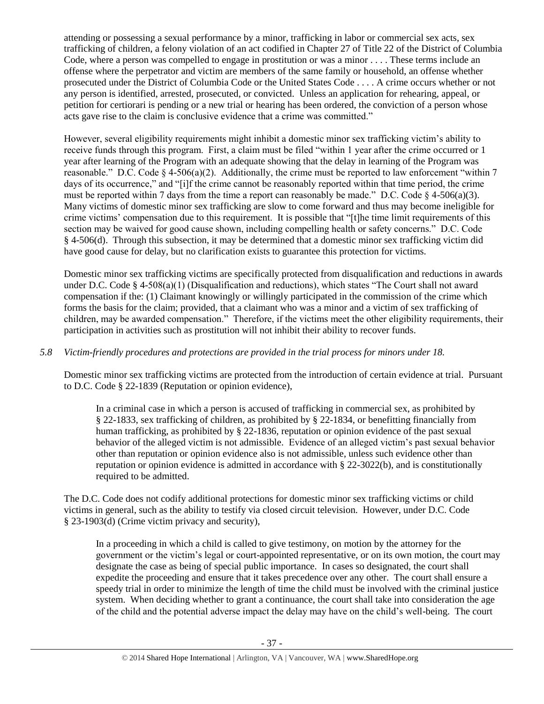attending or possessing a sexual performance by a minor, trafficking in labor or commercial sex acts, sex trafficking of children, a felony violation of an act codified in Chapter 27 of Title 22 of the District of Columbia Code, where a person was compelled to engage in prostitution or was a minor . . . . These terms include an offense where the perpetrator and victim are members of the same family or household, an offense whether prosecuted under the District of Columbia Code or the United States Code . . . . A crime occurs whether or not any person is identified, arrested, prosecuted, or convicted. Unless an application for rehearing, appeal, or petition for certiorari is pending or a new trial or hearing has been ordered, the conviction of a person whose acts gave rise to the claim is conclusive evidence that a crime was committed."

However, several eligibility requirements might inhibit a domestic minor sex trafficking victim's ability to receive funds through this program. First, a claim must be filed "within 1 year after the crime occurred or 1 year after learning of the Program with an adequate showing that the delay in learning of the Program was reasonable." D.C. Code  $\S 4-506(a)(2)$ . Additionally, the crime must be reported to law enforcement "within 7 days of its occurrence," and "[i]f the crime cannot be reasonably reported within that time period, the crime must be reported within 7 days from the time a report can reasonably be made." D.C. Code  $\S$  4-506(a)(3). Many victims of domestic minor sex trafficking are slow to come forward and thus may become ineligible for crime victims' compensation due to this requirement. It is possible that "[t]he time limit requirements of this section may be waived for good cause shown, including compelling health or safety concerns." D.C. Code § 4-506(d). Through this subsection, it may be determined that a domestic minor sex trafficking victim did have good cause for delay, but no clarification exists to guarantee this protection for victims.

Domestic minor sex trafficking victims are specifically protected from disqualification and reductions in awards under D.C. Code § 4-508(a)(1) (Disqualification and reductions), which states "The Court shall not award compensation if the: (1) Claimant knowingly or willingly participated in the commission of the crime which forms the basis for the claim; provided, that a claimant who was a minor and a victim of sex trafficking of children, may be awarded compensation." Therefore, if the victims meet the other eligibility requirements, their participation in activities such as prostitution will not inhibit their ability to recover funds.

# *5.8 Victim-friendly procedures and protections are provided in the trial process for minors under 18.*

Domestic minor sex trafficking victims are protected from the introduction of certain evidence at trial. Pursuant to D.C. Code § 22-1839 (Reputation or opinion evidence),

In a criminal case in which a person is accused of trafficking in commercial sex, as prohibited by § 22-1833, sex trafficking of children, as prohibited by § 22-1834, or benefitting financially from human trafficking, as prohibited by § 22-1836, reputation or opinion evidence of the past sexual behavior of the alleged victim is not admissible. Evidence of an alleged victim's past sexual behavior other than reputation or opinion evidence also is not admissible, unless such evidence other than reputation or opinion evidence is admitted in accordance with § 22-3022(b), and is constitutionally required to be admitted.

The D.C. Code does not codify additional protections for domestic minor sex trafficking victims or child victims in general, such as the ability to testify via closed circuit television. However, under D.C. Code § 23-1903(d) (Crime victim privacy and security),

In a proceeding in which a child is called to give testimony, on motion by the attorney for the government or the victim's legal or court-appointed representative, or on its own motion, the court may designate the case as being of special public importance. In cases so designated, the court shall expedite the proceeding and ensure that it takes precedence over any other. The court shall ensure a speedy trial in order to minimize the length of time the child must be involved with the criminal justice system. When deciding whether to grant a continuance, the court shall take into consideration the age of the child and the potential adverse impact the delay may have on the child's well-being. The court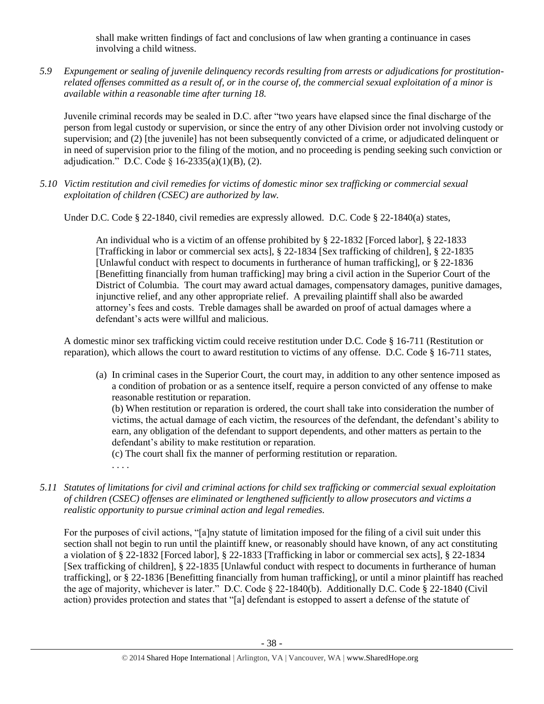shall make written findings of fact and conclusions of law when granting a continuance in cases involving a child witness.

*5.9 Expungement or sealing of juvenile delinquency records resulting from arrests or adjudications for prostitutionrelated offenses committed as a result of, or in the course of, the commercial sexual exploitation of a minor is available within a reasonable time after turning 18.*

Juvenile criminal records may be sealed in D.C. after "two years have elapsed since the final discharge of the person from legal custody or supervision, or since the entry of any other Division order not involving custody or supervision; and (2) [the juvenile] has not been subsequently convicted of a crime, or adjudicated delinquent or in need of supervision prior to the filing of the motion, and no proceeding is pending seeking such conviction or adjudication." D.C. Code §  $16-2335(a)(1)(B)$ , (2).

*5.10 Victim restitution and civil remedies for victims of domestic minor sex trafficking or commercial sexual exploitation of children (CSEC) are authorized by law.* 

Under D.C. Code § 22-1840, civil remedies are expressly allowed. D.C. Code § 22-1840(a) states,

An individual who is a victim of an offense prohibited by [§ 22-1832](http://www.lexis.com/research/buttonTFLink?_m=07a112f99e7b8fc566d4fcb4c9fa62a8&_xfercite=%3ccite%20cc%3d%22USA%22%3e%3c%21%5bCDATA%5bD.C.%20Code%20%a7%2022-1840%5d%5d%3e%3c%2fcite%3e&_butType=4&_butStat=0&_butNum=2&_butInline=1&_butinfo=DCCODE%2022-1832&_fmtstr=FULL&docnum=1&_startdoc=1&wchp=dGLzVzz-zSkAA&_md5=d09117c980fc6ae3a7b6bc3a56660f67) [Forced labor], [§ 22-1833](http://www.lexis.com/research/buttonTFLink?_m=07a112f99e7b8fc566d4fcb4c9fa62a8&_xfercite=%3ccite%20cc%3d%22USA%22%3e%3c%21%5bCDATA%5bD.C.%20Code%20%a7%2022-1840%5d%5d%3e%3c%2fcite%3e&_butType=4&_butStat=0&_butNum=3&_butInline=1&_butinfo=DCCODE%2022-1833&_fmtstr=FULL&docnum=1&_startdoc=1&wchp=dGLzVzz-zSkAA&_md5=b996211e6beb44df20c43519df6654e6) [Trafficking in labor or commercial sex acts], [§ 22-1834](http://www.lexis.com/research/buttonTFLink?_m=07a112f99e7b8fc566d4fcb4c9fa62a8&_xfercite=%3ccite%20cc%3d%22USA%22%3e%3c%21%5bCDATA%5bD.C.%20Code%20%a7%2022-1840%5d%5d%3e%3c%2fcite%3e&_butType=4&_butStat=0&_butNum=4&_butInline=1&_butinfo=DCCODE%2022-1834&_fmtstr=FULL&docnum=1&_startdoc=1&wchp=dGLzVzz-zSkAA&_md5=a5557eeba140e1bcab6b6dc9c7f4621d) [Sex trafficking of children], [§ 22-1835](http://www.lexis.com/research/buttonTFLink?_m=07a112f99e7b8fc566d4fcb4c9fa62a8&_xfercite=%3ccite%20cc%3d%22USA%22%3e%3c%21%5bCDATA%5bD.C.%20Code%20%a7%2022-1840%5d%5d%3e%3c%2fcite%3e&_butType=4&_butStat=0&_butNum=5&_butInline=1&_butinfo=DCCODE%2022-1835&_fmtstr=FULL&docnum=1&_startdoc=1&wchp=dGLzVzz-zSkAA&_md5=90f235c81fba6d5127da38fd762ebe2a) [Unlawful conduct with respect to documents in furtherance of human trafficking], or [§ 22-1836](http://www.lexis.com/research/buttonTFLink?_m=07a112f99e7b8fc566d4fcb4c9fa62a8&_xfercite=%3ccite%20cc%3d%22USA%22%3e%3c%21%5bCDATA%5bD.C.%20Code%20%a7%2022-1840%5d%5d%3e%3c%2fcite%3e&_butType=4&_butStat=0&_butNum=6&_butInline=1&_butinfo=DCCODE%2022-1836&_fmtstr=FULL&docnum=1&_startdoc=1&wchp=dGLzVzz-zSkAA&_md5=e9ef8b950cc329647e4a5bc7da987e65) [Benefitting financially from human trafficking] may bring a civil action in the Superior Court of the District of Columbia. The court may award actual damages, compensatory damages, punitive damages, injunctive relief, and any other appropriate relief. A prevailing plaintiff shall also be awarded attorney's fees and costs. Treble damages shall be awarded on proof of actual damages where a defendant's acts were willful and malicious.

A domestic minor sex trafficking victim could receive restitution under D.C. Code § 16-711 (Restitution or reparation), which allows the court to award restitution to victims of any offense. D.C. Code § 16-711 states,

(a) In criminal cases in the Superior Court, the court may, in addition to any other sentence imposed as a condition of probation or as a sentence itself, require a person convicted of any offense to make reasonable restitution or reparation.

(b) When restitution or reparation is ordered, the court shall take into consideration the number of victims, the actual damage of each victim, the resources of the defendant, the defendant's ability to earn, any obligation of the defendant to support dependents, and other matters as pertain to the defendant's ability to make restitution or reparation.

(c) The court shall fix the manner of performing restitution or reparation.

. . . .

*5.11 Statutes of limitations for civil and criminal actions for child sex trafficking or commercial sexual exploitation of children (CSEC) offenses are eliminated or lengthened sufficiently to allow prosecutors and victims a realistic opportunity to pursue criminal action and legal remedies.*

For the purposes of civil actions, "[a]ny statute of limitation imposed for the filing of a civil suit under this section shall not begin to run until the plaintiff knew, or reasonably should have known, of any act constituting a violation of § 22-1832 [Forced labor], § 22-1833 [Trafficking in labor or commercial sex acts], § 22-1834 [Sex trafficking of children], § 22-1835 [Unlawful conduct with respect to documents in furtherance of human trafficking], or § 22-1836 [Benefitting financially from human trafficking], or until a minor plaintiff has reached the age of majority, whichever is later." D.C. Code § 22-1840(b). Additionally D.C. Code § 22-1840 (Civil action) provides protection and states that "[a] defendant is estopped to assert a defense of the statute of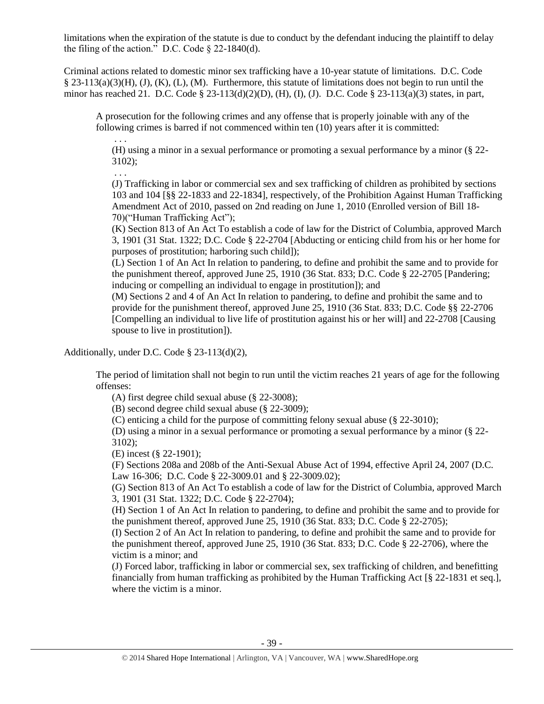limitations when the expiration of the statute is due to conduct by the defendant inducing the plaintiff to delay the filing of the action." D.C. Code  $\S$  22-1840(d).

Criminal actions related to domestic minor sex trafficking have a 10-year statute of limitations. D.C. Code § 23-113(a)(3)(H), (J), (K), (L), (M). Furthermore, this statute of limitations does not begin to run until the minor has reached 21. D.C. Code § 23-113(d)(2)(D), (H), (I), (J). D.C. Code § 23-113(a)(3) states, in part,

A prosecution for the following crimes and any offense that is properly joinable with any of the following crimes is barred if not commenced within ten (10) years after it is committed:

. . . (H) using a minor in a sexual performance or promoting a sexual performance by a minor (§ 22- 3102);

(J) Trafficking in labor or commercial sex and sex trafficking of children as prohibited by sections 103 and 104 [§§ 22-1833 and 22-1834], respectively, of the Prohibition Against Human Trafficking Amendment Act of 2010, passed on 2nd reading on June 1, 2010 (Enrolled version of Bill 18- 70)("Human Trafficking Act");

(K) Section 813 of An Act To establish a code of law for the District of Columbia, approved March 3, 1901 (31 Stat. 1322; D.C. Code § 22-2704 [Abducting or enticing child from his or her home for purposes of prostitution; harboring such child]);

(L) Section 1 of An Act In relation to pandering, to define and prohibit the same and to provide for the punishment thereof, approved June 25, 1910 (36 Stat. 833; D.C. Code § 22-2705 [Pandering; inducing or compelling an individual to engage in prostitution]); and

(M) Sections 2 and 4 of An Act In relation to pandering, to define and prohibit the same and to provide for the punishment thereof, approved June 25, 1910 (36 Stat. 833; D.C. Code §§ 22-2706 [Compelling an individual to live life of prostitution against his or her will] and 22-2708 [Causing spouse to live in prostitution]).

Additionally, under D.C. Code § 23-113(d)(2),

. . .

The period of limitation shall not begin to run until the victim reaches 21 years of age for the following offenses:

(A) first degree child sexual abuse (§ 22-3008);

(B) second degree child sexual abuse (§ 22-3009);

(C) enticing a child for the purpose of committing felony sexual abuse (§ 22-3010);

(D) using a minor in a sexual performance or promoting a sexual performance by a minor (§ 22- 3102);

(E) incest (§ 22-1901);

(F) Sections 208a and 208b of the Anti-Sexual Abuse Act of 1994, effective April 24, 2007 (D.C. Law 16-306; D.C. Code § 22-3009.01 and § 22-3009.02);

(G) Section 813 of An Act To establish a code of law for the District of Columbia, approved March 3, 1901 (31 Stat. 1322; D.C. Code § 22-2704);

(H) Section 1 of An Act In relation to pandering, to define and prohibit the same and to provide for the punishment thereof, approved June 25, 1910 (36 Stat. 833; D.C. Code  $\S$  22-2705);

(I) Section 2 of An Act In relation to pandering, to define and prohibit the same and to provide for the punishment thereof, approved June 25, 1910 (36 Stat. 833; D.C. Code § 22-2706), where the victim is a minor; and

(J) Forced labor, trafficking in labor or commercial sex, sex trafficking of children, and benefitting financially from human trafficking as prohibited by the Human Trafficking Act [§ 22-1831 et seq.], where the victim is a minor.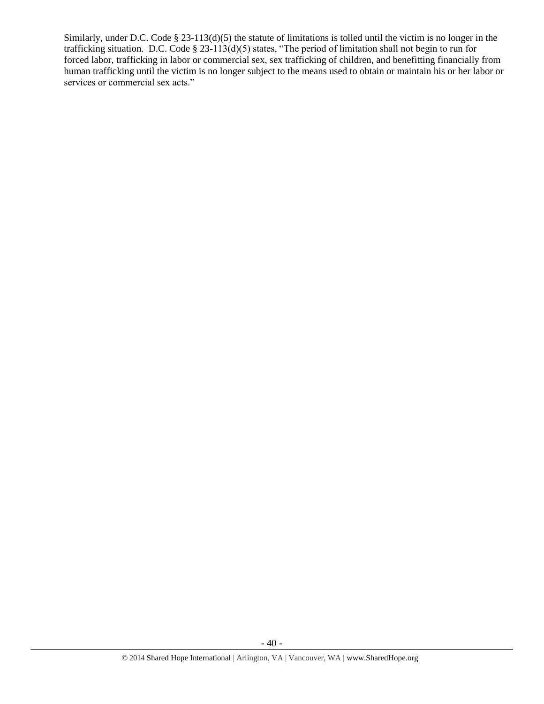Similarly, under D.C. Code § 23-113(d)(5) the statute of limitations is tolled until the victim is no longer in the trafficking situation. D.C. Code § 23-113(d)(5) states, "The period of limitation shall not begin to run for forced labor, trafficking in labor or commercial sex, sex trafficking of children, and benefitting financially from human trafficking until the victim is no longer subject to the means used to obtain or maintain his or her labor or services or commercial sex acts."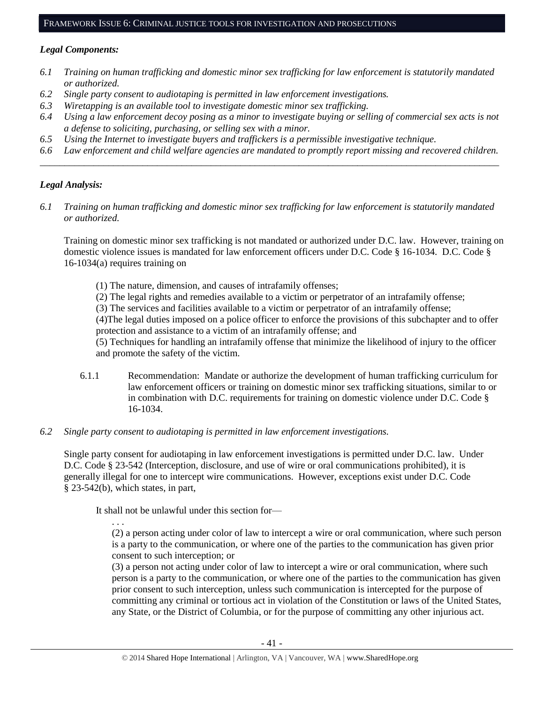#### FRAMEWORK ISSUE 6: CRIMINAL JUSTICE TOOLS FOR INVESTIGATION AND PROSECUTIONS

#### *Legal Components:*

- *6.1 Training on human trafficking and domestic minor sex trafficking for law enforcement is statutorily mandated or authorized.*
- *6.2 Single party consent to audiotaping is permitted in law enforcement investigations.*
- *6.3 Wiretapping is an available tool to investigate domestic minor sex trafficking.*
- *6.4 Using a law enforcement decoy posing as a minor to investigate buying or selling of commercial sex acts is not a defense to soliciting, purchasing, or selling sex with a minor.*
- *6.5 Using the Internet to investigate buyers and traffickers is a permissible investigative technique.*
- *6.6 Law enforcement and child welfare agencies are mandated to promptly report missing and recovered children. \_\_\_\_\_\_\_\_\_\_\_\_\_\_\_\_\_\_\_\_\_\_\_\_\_\_\_\_\_\_\_\_\_\_\_\_\_\_\_\_\_\_\_\_\_\_\_\_\_\_\_\_\_\_\_\_\_\_\_\_\_\_\_\_\_\_\_\_\_\_\_\_\_\_\_\_\_\_\_\_\_\_\_\_\_\_\_\_\_\_\_\_\_\_*

#### *Legal Analysis:*

*6.1 Training on human trafficking and domestic minor sex trafficking for law enforcement is statutorily mandated or authorized.*

Training on domestic minor sex trafficking is not mandated or authorized under D.C. law. However, training on domestic violence issues is mandated for law enforcement officers under D.C. Code § 16-1034. D.C. Code § 16-1034(a) requires training on

(1) The nature, dimension, and causes of intrafamily offenses;

(2) The legal rights and remedies available to a victim or perpetrator of an intrafamily offense;

(3) The services and facilities available to a victim or perpetrator of an intrafamily offense;

(4)The legal duties imposed on a police officer to enforce the provisions of this subchapter and to offer protection and assistance to a victim of an intrafamily offense; and

(5) Techniques for handling an intrafamily offense that minimize the likelihood of injury to the officer and promote the safety of the victim.

- 6.1.1 Recommendation: Mandate or authorize the development of human trafficking curriculum for law enforcement officers or training on domestic minor sex trafficking situations, similar to or in combination with D.C. requirements for training on domestic violence under D.C. Code § 16-1034.
- *6.2 Single party consent to audiotaping is permitted in law enforcement investigations.*

Single party consent for audiotaping in law enforcement investigations is permitted under D.C. law. Under D.C. Code § 23-542 (Interception, disclosure, and use of wire or oral communications prohibited), it is generally illegal for one to intercept wire communications. However, exceptions exist under D.C. Code § 23-542(b), which states, in part,

It shall not be unlawful under this section for—

. . . (2) a person acting under color of law to intercept a wire or oral communication, where such person is a party to the communication, or where one of the parties to the communication has given prior consent to such interception; or

(3) a person not acting under color of law to intercept a wire or oral communication, where such person is a party to the communication, or where one of the parties to the communication has given prior consent to such interception, unless such communication is intercepted for the purpose of committing any criminal or tortious act in violation of the Constitution or laws of the United States, any State, or the District of Columbia, or for the purpose of committing any other injurious act.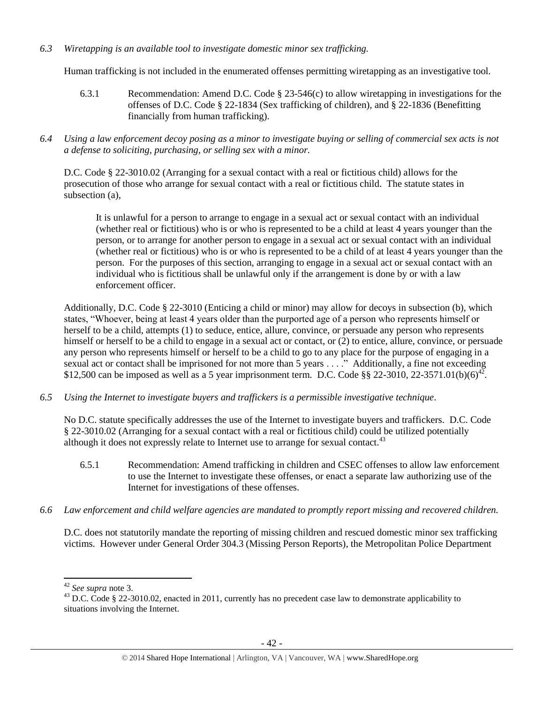## *6.3 Wiretapping is an available tool to investigate domestic minor sex trafficking.*

Human trafficking is not included in the enumerated offenses permitting wiretapping as an investigative tool.

- 6.3.1 Recommendation: Amend D.C. Code § 23-546(c) to allow wiretapping in investigations for the offenses of D.C. Code § 22-1834 (Sex trafficking of children), and § 22-1836 (Benefitting financially from human trafficking).
- *6.4 Using a law enforcement decoy posing as a minor to investigate buying or selling of commercial sex acts is not a defense to soliciting, purchasing, or selling sex with a minor.*

D.C. Code § 22-3010.02 (Arranging for a sexual contact with a real or fictitious child) allows for the prosecution of those who arrange for sexual contact with a real or fictitious child. The statute states in subsection (a),

It is unlawful for a person to arrange to engage in a sexual act or sexual contact with an individual (whether real or fictitious) who is or who is represented to be a child at least 4 years younger than the person, or to arrange for another person to engage in a sexual act or sexual contact with an individual (whether real or fictitious) who is or who is represented to be a child of at least 4 years younger than the person. For the purposes of this section, arranging to engage in a sexual act or sexual contact with an individual who is fictitious shall be unlawful only if the arrangement is done by or with a law enforcement officer.

Additionally, D.C. Code § 22-3010 (Enticing a child or minor) may allow for decoys in subsection (b), which states, "Whoever, being at least 4 years older than the purported age of a person who represents himself or herself to be a child, attempts (1) to seduce, entice, allure, convince, or persuade any person who represents himself or herself to be a child to engage in a sexual act or contact, or (2) to entice, allure, convince, or persuade any person who represents himself or herself to be a child to go to any place for the purpose of engaging in a sexual act or contact shall be imprisoned for not more than 5 years . . . ." Additionally, a fine not exceeding \$12,500 can be imposed as well as a 5 year imprisonment term. D.C. Code §§ 22-3010, 22-3571.01(b)(6)<sup>42</sup>.

*6.5 Using the Internet to investigate buyers and traffickers is a permissible investigative technique.*

No D.C. statute specifically addresses the use of the Internet to investigate buyers and traffickers. D.C. Code § 22-3010.02 (Arranging for a sexual contact with a real or fictitious child) could be utilized potentially although it does not expressly relate to Internet use to arrange for sexual contact. $43$ 

- 6.5.1 Recommendation: Amend trafficking in children and CSEC offenses to allow law enforcement to use the Internet to investigate these offenses, or enact a separate law authorizing use of the Internet for investigations of these offenses.
- *6.6 Law enforcement and child welfare agencies are mandated to promptly report missing and recovered children.*

D.C. does not statutorily mandate the reporting of missing children and rescued domestic minor sex trafficking victims. However under General Order 304.3 (Missing Person Reports), the Metropolitan Police Department

l

<sup>42</sup> *See supra* note [3.](#page-1-0)

<sup>&</sup>lt;sup>43</sup> D.C. Code § 22-3010.02, enacted in 2011, currently has no precedent case law to demonstrate applicability to situations involving the Internet.